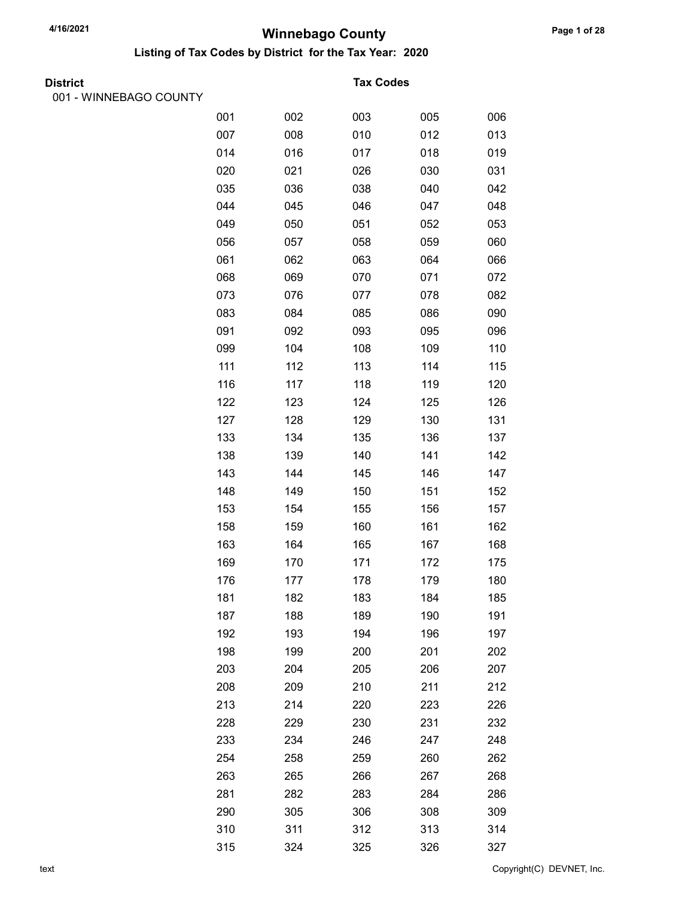Listing of Tax Codes by District for the Tax Year: 2020

| <b>District</b> |
|-----------------|
|                 |

001 - WINNEBAGO COUNTY

#### **Tax Codes**

| <b>""""""""</b><br>000111 |     |     |     |     |     |
|---------------------------|-----|-----|-----|-----|-----|
|                           | 001 | 002 | 003 | 005 | 006 |
|                           | 007 | 008 | 010 | 012 | 013 |
|                           | 014 | 016 | 017 | 018 | 019 |
|                           | 020 | 021 | 026 | 030 | 031 |
|                           | 035 | 036 | 038 | 040 | 042 |
|                           | 044 | 045 | 046 | 047 | 048 |
|                           | 049 | 050 | 051 | 052 | 053 |
|                           | 056 | 057 | 058 | 059 | 060 |
|                           | 061 | 062 | 063 | 064 | 066 |
|                           | 068 | 069 | 070 | 071 | 072 |
|                           | 073 | 076 | 077 | 078 | 082 |
|                           | 083 | 084 | 085 | 086 | 090 |
|                           | 091 | 092 | 093 | 095 | 096 |
|                           | 099 | 104 | 108 | 109 | 110 |
|                           | 111 | 112 | 113 | 114 | 115 |
|                           | 116 | 117 | 118 | 119 | 120 |
|                           | 122 | 123 | 124 | 125 | 126 |
|                           | 127 | 128 | 129 | 130 | 131 |
|                           | 133 | 134 | 135 | 136 | 137 |
|                           | 138 | 139 | 140 | 141 | 142 |
|                           | 143 | 144 | 145 | 146 | 147 |
|                           | 148 | 149 | 150 | 151 | 152 |
|                           | 153 | 154 | 155 | 156 | 157 |
|                           | 158 | 159 | 160 | 161 | 162 |
|                           | 163 | 164 | 165 | 167 | 168 |
|                           | 169 | 170 | 171 | 172 | 175 |
|                           | 176 | 177 | 178 | 179 | 180 |
|                           | 181 | 182 | 183 | 184 | 185 |
|                           | 187 | 188 | 189 | 190 | 191 |
|                           | 192 | 193 | 194 | 196 | 197 |
|                           | 198 | 199 | 200 | 201 | 202 |
|                           | 203 | 204 | 205 | 206 | 207 |
|                           | 208 | 209 | 210 | 211 | 212 |
|                           | 213 | 214 | 220 | 223 | 226 |
|                           | 228 | 229 | 230 | 231 | 232 |
|                           | 233 | 234 | 246 | 247 | 248 |
|                           | 254 | 258 | 259 | 260 | 262 |
|                           | 263 | 265 | 266 | 267 | 268 |
|                           | 281 | 282 | 283 | 284 | 286 |
|                           | 290 | 305 | 306 | 308 | 309 |
|                           | 310 | 311 | 312 | 313 | 314 |
|                           | 315 | 324 | 325 | 326 | 327 |

text Copyright(C) DEVNET, Inc.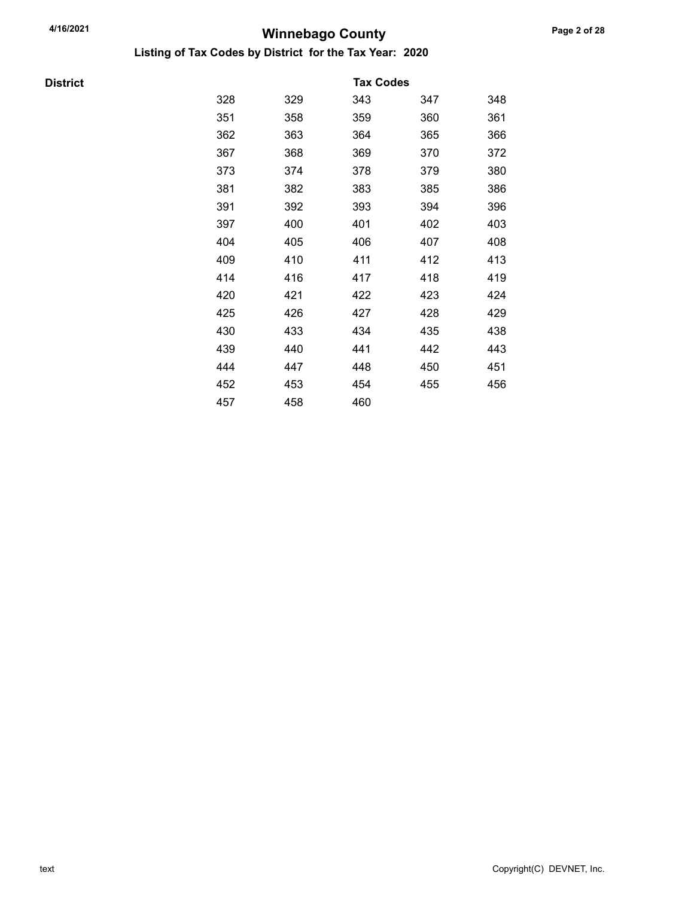Listing of Tax Codes by District for the Tax Year: 2020

**District** 

| 329 | 343 | 347 | 348              |
|-----|-----|-----|------------------|
| 358 | 359 | 360 | 361              |
| 363 | 364 | 365 | 366              |
| 368 | 369 | 370 | 372              |
| 374 | 378 | 379 | 380              |
| 382 | 383 | 385 | 386              |
| 392 | 393 | 394 | 396              |
| 400 | 401 | 402 | 403              |
| 405 | 406 | 407 | 408              |
| 410 | 411 | 412 | 413              |
| 416 | 417 | 418 | 419              |
| 421 | 422 | 423 | 424              |
| 426 | 427 | 428 | 429              |
| 433 | 434 | 435 | 438              |
| 440 | 441 | 442 | 443              |
| 447 | 448 | 450 | 451              |
| 453 | 454 | 455 | 456              |
| 458 | 460 |     |                  |
|     |     |     | <b>Tax Codes</b> |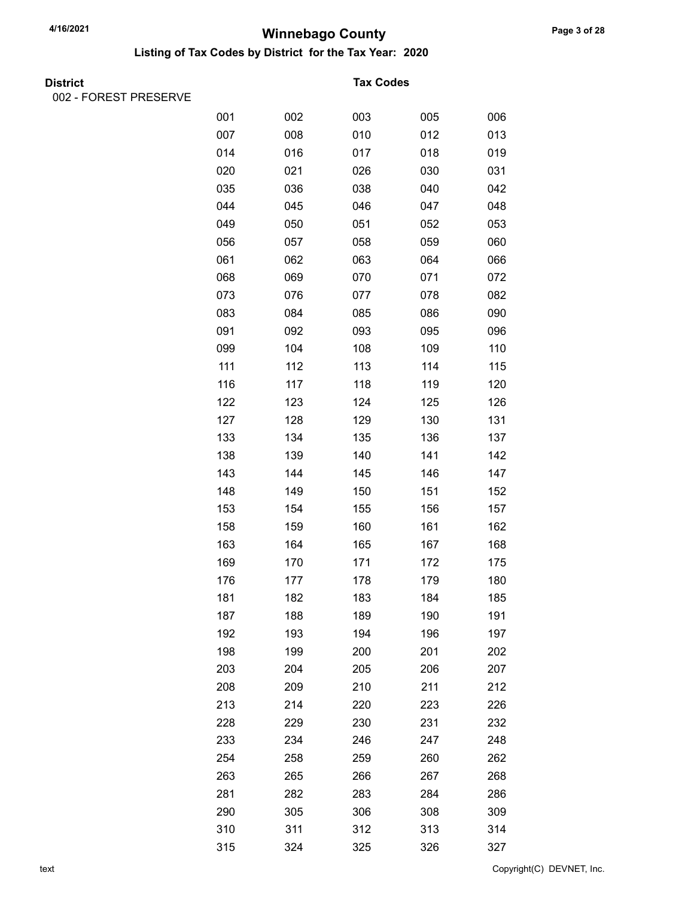Listing of Tax Codes by District for the Tax Year: 2020

002 - FOREST PRESERVE

#### **Tax Codes**

| □ ヽ <b>ㄴ</b> ◡  ̄  ̄  ̄ ヽ ㄴ ◡ ㄴ  ̄ ヽ v ㄴ |     |     |     |     |     |
|------------------------------------------|-----|-----|-----|-----|-----|
|                                          | 001 | 002 | 003 | 005 | 006 |
|                                          | 007 | 008 | 010 | 012 | 013 |
|                                          | 014 | 016 | 017 | 018 | 019 |
|                                          | 020 | 021 | 026 | 030 | 031 |
|                                          | 035 | 036 | 038 | 040 | 042 |
|                                          | 044 | 045 | 046 | 047 | 048 |
|                                          | 049 | 050 | 051 | 052 | 053 |
|                                          | 056 | 057 | 058 | 059 | 060 |
|                                          | 061 | 062 | 063 | 064 | 066 |
|                                          | 068 | 069 | 070 | 071 | 072 |
|                                          | 073 | 076 | 077 | 078 | 082 |
|                                          | 083 | 084 | 085 | 086 | 090 |
|                                          | 091 | 092 | 093 | 095 | 096 |
|                                          | 099 | 104 | 108 | 109 | 110 |
|                                          | 111 | 112 | 113 | 114 | 115 |
|                                          | 116 | 117 | 118 | 119 | 120 |
|                                          | 122 | 123 | 124 | 125 | 126 |
|                                          | 127 | 128 | 129 | 130 | 131 |
|                                          | 133 | 134 | 135 | 136 | 137 |
|                                          | 138 | 139 | 140 | 141 | 142 |
|                                          | 143 | 144 | 145 | 146 | 147 |
|                                          | 148 | 149 | 150 | 151 | 152 |
|                                          | 153 | 154 | 155 | 156 | 157 |
|                                          | 158 | 159 | 160 | 161 | 162 |
|                                          | 163 | 164 | 165 | 167 | 168 |
|                                          | 169 | 170 | 171 | 172 | 175 |
|                                          | 176 | 177 | 178 | 179 | 180 |
|                                          | 181 | 182 | 183 | 184 | 185 |
|                                          | 187 | 188 | 189 | 190 | 191 |
|                                          | 192 | 193 | 194 | 196 | 197 |
|                                          | 198 | 199 | 200 | 201 | 202 |
|                                          | 203 | 204 | 205 | 206 | 207 |
|                                          | 208 | 209 | 210 | 211 | 212 |
|                                          | 213 | 214 | 220 | 223 | 226 |
|                                          | 228 | 229 | 230 | 231 | 232 |
|                                          | 233 | 234 | 246 | 247 | 248 |
|                                          | 254 | 258 | 259 | 260 | 262 |
|                                          | 263 | 265 | 266 | 267 | 268 |
|                                          | 281 | 282 | 283 | 284 | 286 |
|                                          | 290 | 305 | 306 | 308 | 309 |
|                                          | 310 | 311 | 312 | 313 | 314 |
|                                          | 315 | 324 | 325 | 326 | 327 |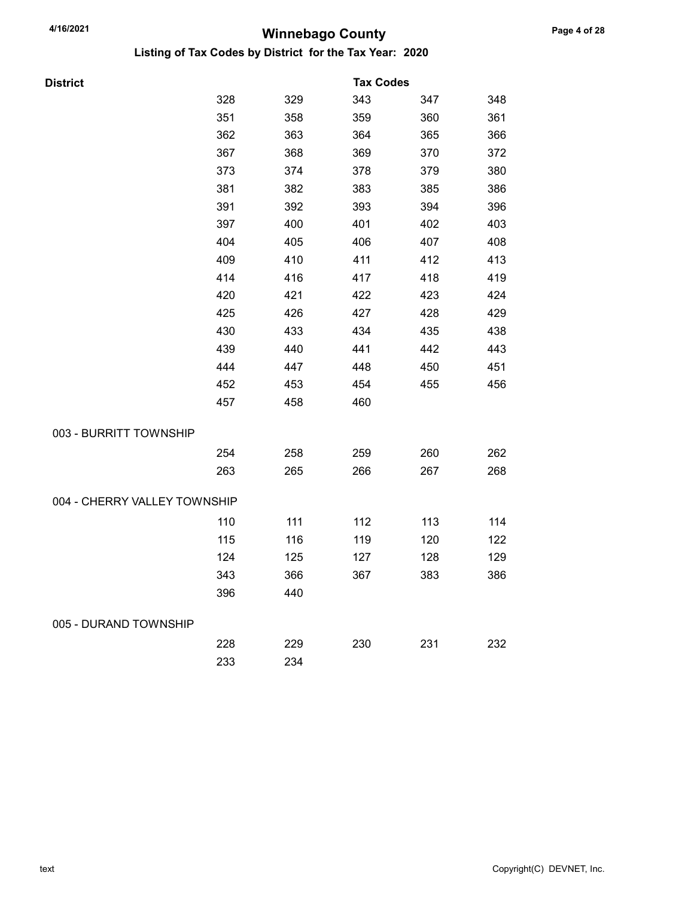| District                     |     |     | <b>Tax Codes</b> |     |     |
|------------------------------|-----|-----|------------------|-----|-----|
|                              | 328 | 329 | 343              | 347 | 348 |
|                              | 351 | 358 | 359              | 360 | 361 |
|                              | 362 | 363 | 364              | 365 | 366 |
|                              | 367 | 368 | 369              | 370 | 372 |
|                              | 373 | 374 | 378              | 379 | 380 |
|                              | 381 | 382 | 383              | 385 | 386 |
|                              | 391 | 392 | 393              | 394 | 396 |
|                              | 397 | 400 | 401              | 402 | 403 |
|                              | 404 | 405 | 406              | 407 | 408 |
|                              | 409 | 410 | 411              | 412 | 413 |
|                              | 414 | 416 | 417              | 418 | 419 |
|                              | 420 | 421 | 422              | 423 | 424 |
|                              | 425 | 426 | 427              | 428 | 429 |
|                              | 430 | 433 | 434              | 435 | 438 |
|                              | 439 | 440 | 441              | 442 | 443 |
|                              | 444 | 447 | 448              | 450 | 451 |
|                              | 452 | 453 | 454              | 455 | 456 |
|                              | 457 | 458 | 460              |     |     |
| 003 - BURRITT TOWNSHIP       |     |     |                  |     |     |
|                              | 254 | 258 | 259              | 260 | 262 |
|                              | 263 | 265 | 266              | 267 | 268 |
| 004 - CHERRY VALLEY TOWNSHIP |     |     |                  |     |     |
|                              | 110 | 111 | 112              | 113 | 114 |
|                              | 115 | 116 | 119              | 120 | 122 |
|                              | 124 | 125 | 127              | 128 | 129 |
|                              | 343 | 366 | 367              | 383 | 386 |
|                              | 396 | 440 |                  |     |     |
| 005 - DURAND TOWNSHIP        |     |     |                  |     |     |
|                              | 228 | 229 | 230              | 231 | 232 |
|                              | 233 | 234 |                  |     |     |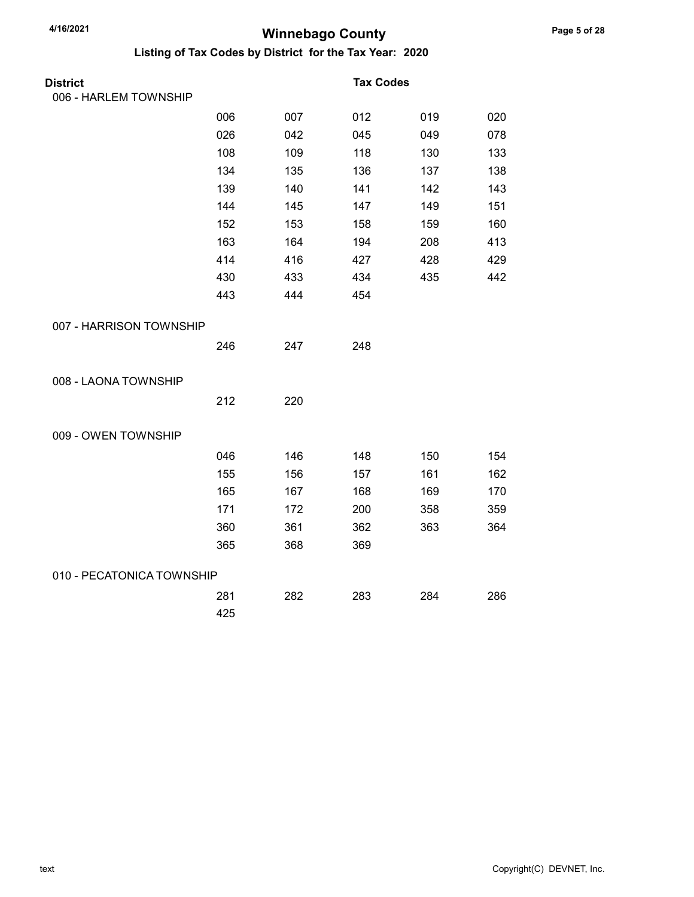| <b>District</b>           |     |     | <b>Tax Codes</b> |     |     |
|---------------------------|-----|-----|------------------|-----|-----|
| 006 - HARLEM TOWNSHIP     |     |     |                  |     |     |
|                           | 006 | 007 | 012              | 019 | 020 |
|                           | 026 | 042 | 045              | 049 | 078 |
|                           | 108 | 109 | 118              | 130 | 133 |
|                           | 134 | 135 | 136              | 137 | 138 |
|                           | 139 | 140 | 141              | 142 | 143 |
|                           | 144 | 145 | 147              | 149 | 151 |
|                           | 152 | 153 | 158              | 159 | 160 |
|                           | 163 | 164 | 194              | 208 | 413 |
|                           | 414 | 416 | 427              | 428 | 429 |
|                           | 430 | 433 | 434              | 435 | 442 |
|                           | 443 | 444 | 454              |     |     |
| 007 - HARRISON TOWNSHIP   |     |     |                  |     |     |
|                           | 246 | 247 | 248              |     |     |
| 008 - LAONA TOWNSHIP      |     |     |                  |     |     |
|                           | 212 | 220 |                  |     |     |
| 009 - OWEN TOWNSHIP       |     |     |                  |     |     |
|                           | 046 | 146 | 148              | 150 | 154 |
|                           | 155 | 156 | 157              | 161 | 162 |
|                           | 165 | 167 | 168              | 169 | 170 |
|                           | 171 | 172 | 200              | 358 | 359 |
|                           | 360 | 361 | 362              | 363 | 364 |
|                           | 365 | 368 | 369              |     |     |
| 010 - PECATONICA TOWNSHIP |     |     |                  |     |     |
|                           | 281 | 282 | 283              | 284 | 286 |
|                           | 425 |     |                  |     |     |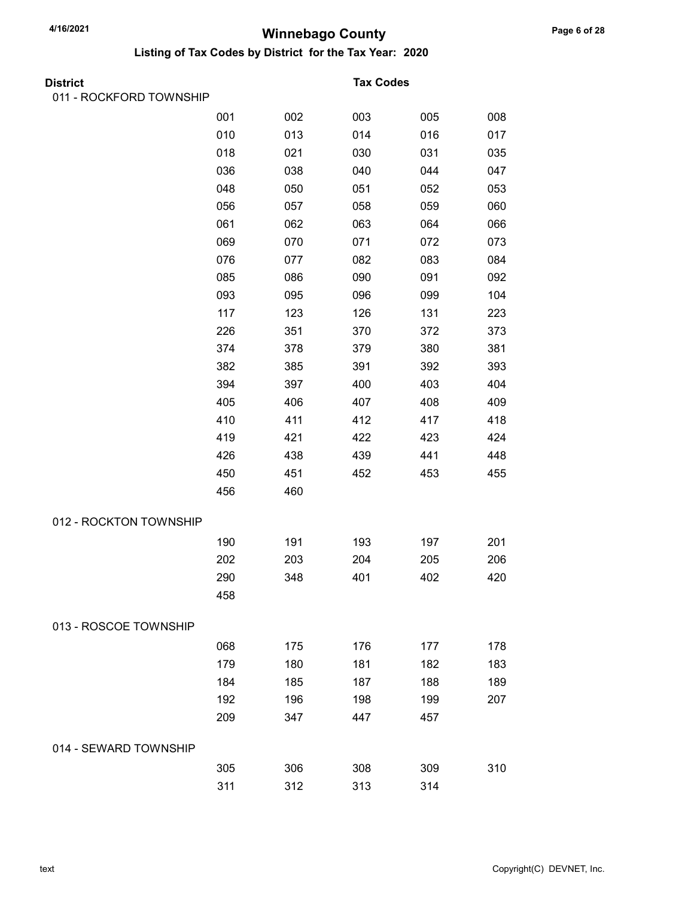| District                |     |     | <b>Tax Codes</b> |     |     |
|-------------------------|-----|-----|------------------|-----|-----|
| 011 - ROCKFORD TOWNSHIP |     |     |                  |     |     |
|                         | 001 | 002 | 003              | 005 | 008 |
|                         | 010 | 013 | 014              | 016 | 017 |
|                         | 018 | 021 | 030              | 031 | 035 |
|                         | 036 | 038 | 040              | 044 | 047 |
|                         | 048 | 050 | 051              | 052 | 053 |
|                         | 056 | 057 | 058              | 059 | 060 |
|                         | 061 | 062 | 063              | 064 | 066 |
|                         | 069 | 070 | 071              | 072 | 073 |
|                         | 076 | 077 | 082              | 083 | 084 |
|                         | 085 | 086 | 090              | 091 | 092 |
|                         | 093 | 095 | 096              | 099 | 104 |
|                         | 117 | 123 | 126              | 131 | 223 |
|                         | 226 | 351 | 370              | 372 | 373 |
|                         | 374 | 378 | 379              | 380 | 381 |
|                         | 382 | 385 | 391              | 392 | 393 |
|                         | 394 | 397 | 400              | 403 | 404 |
|                         | 405 | 406 | 407              | 408 | 409 |
|                         | 410 | 411 | 412              | 417 | 418 |
|                         | 419 | 421 | 422              | 423 | 424 |
|                         | 426 | 438 | 439              | 441 | 448 |
|                         | 450 | 451 | 452              | 453 | 455 |
|                         | 456 | 460 |                  |     |     |
| 012 - ROCKTON TOWNSHIP  |     |     |                  |     |     |
|                         | 190 | 191 | 193              | 197 | 201 |
|                         | 202 | 203 | 204              | 205 | 206 |
|                         | 290 | 348 | 401              | 402 | 420 |
|                         | 458 |     |                  |     |     |
| 013 - ROSCOE TOWNSHIP   |     |     |                  |     |     |
|                         | 068 | 175 | 176              | 177 | 178 |
|                         | 179 | 180 | 181              | 182 | 183 |
|                         | 184 | 185 | 187              | 188 | 189 |
|                         | 192 | 196 | 198              | 199 | 207 |
|                         | 209 | 347 | 447              | 457 |     |
| 014 - SEWARD TOWNSHIP   |     |     |                  |     |     |
|                         | 305 | 306 | 308              | 309 | 310 |
|                         | 311 | 312 | 313              | 314 |     |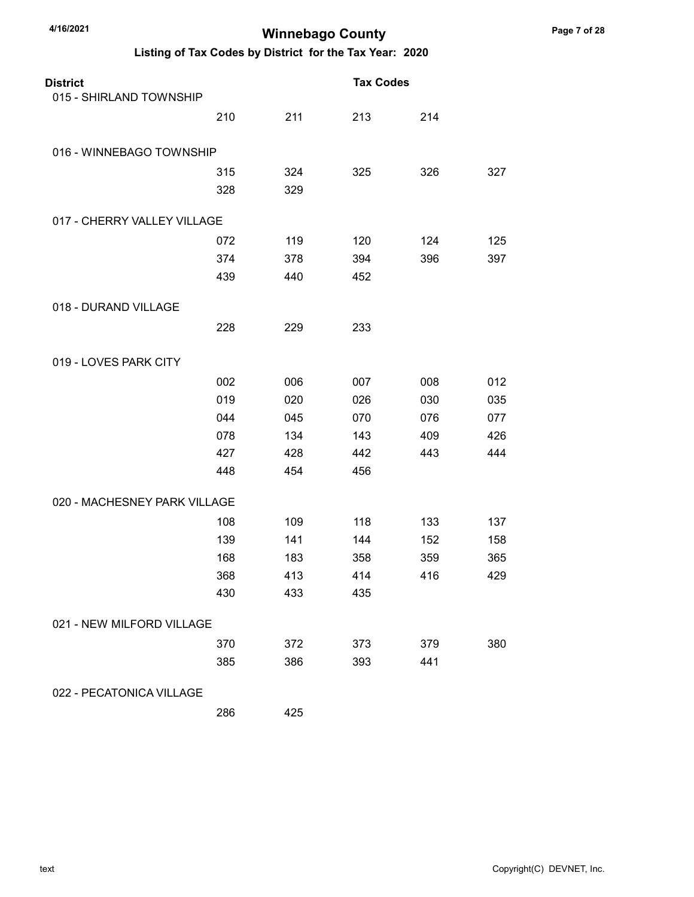Listing of Tax Codes by District for the Tax Year: 2020

| <b>District</b><br>015 - SHIRLAND TOWNSHIP |     |     | <b>Tax Codes</b> |     |     |
|--------------------------------------------|-----|-----|------------------|-----|-----|
|                                            |     |     |                  |     |     |
|                                            | 210 | 211 | 213              | 214 |     |
| 016 - WINNEBAGO TOWNSHIP                   |     |     |                  |     |     |
|                                            | 315 | 324 | 325              | 326 | 327 |
|                                            | 328 | 329 |                  |     |     |
| 017 - CHERRY VALLEY VILLAGE                |     |     |                  |     |     |
|                                            | 072 | 119 | 120              | 124 | 125 |
|                                            | 374 | 378 | 394              | 396 | 397 |
|                                            | 439 | 440 | 452              |     |     |
| 018 - DURAND VILLAGE                       |     |     |                  |     |     |
|                                            | 228 | 229 | 233              |     |     |
| 019 - LOVES PARK CITY                      |     |     |                  |     |     |
|                                            | 002 | 006 | 007              | 008 | 012 |
|                                            | 019 | 020 | 026              | 030 | 035 |
|                                            | 044 | 045 | 070              | 076 | 077 |
|                                            | 078 | 134 | 143              | 409 | 426 |
|                                            | 427 | 428 | 442              | 443 | 444 |
|                                            | 448 | 454 | 456              |     |     |
| 020 - MACHESNEY PARK VILLAGE               |     |     |                  |     |     |
|                                            | 108 | 109 | 118              | 133 | 137 |
|                                            | 139 | 141 | 144              | 152 | 158 |
|                                            | 168 | 183 | 358              | 359 | 365 |
|                                            | 368 | 413 | 414              | 416 | 429 |
|                                            | 430 | 433 | 435              |     |     |
| 021 - NEW MILFORD VILLAGE                  |     |     |                  |     |     |
|                                            | 370 | 372 | 373              | 379 | 380 |
|                                            | 385 | 386 | 393              | 441 |     |
| 022 - PECATONICA VILLAGE                   |     |     |                  |     |     |

286 425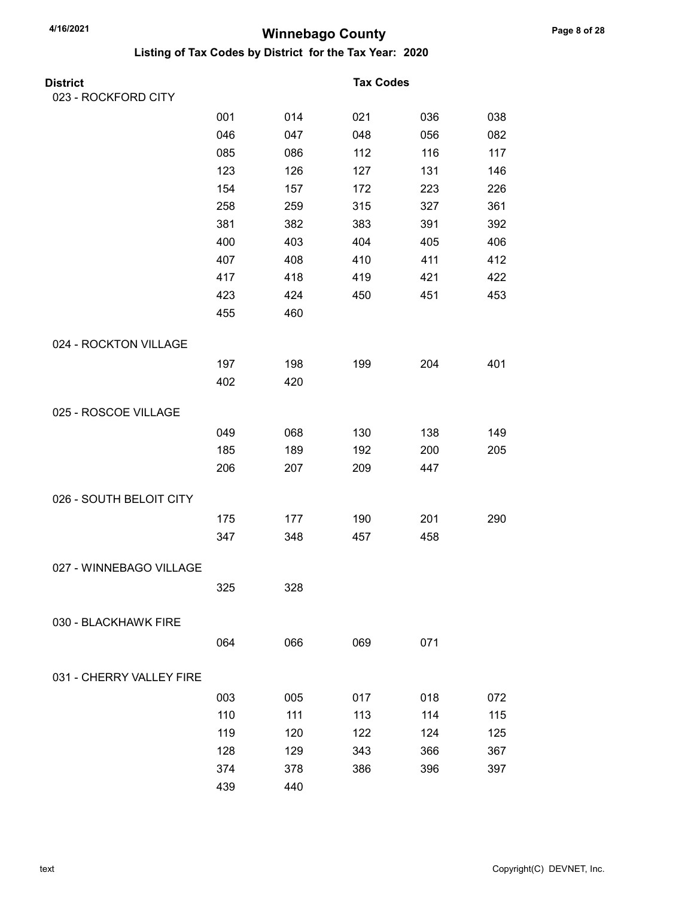| <b>District</b>          |     |     | <b>Tax Codes</b> |     |     |
|--------------------------|-----|-----|------------------|-----|-----|
| 023 - ROCKFORD CITY      |     |     |                  |     |     |
|                          | 001 | 014 | 021              | 036 | 038 |
|                          | 046 | 047 | 048              | 056 | 082 |
|                          | 085 | 086 | 112              | 116 | 117 |
|                          | 123 | 126 | 127              | 131 | 146 |
|                          | 154 | 157 | 172              | 223 | 226 |
|                          | 258 | 259 | 315              | 327 | 361 |
|                          | 381 | 382 | 383              | 391 | 392 |
|                          | 400 | 403 | 404              | 405 | 406 |
|                          | 407 | 408 | 410              | 411 | 412 |
|                          | 417 | 418 | 419              | 421 | 422 |
|                          | 423 | 424 | 450              | 451 | 453 |
|                          | 455 | 460 |                  |     |     |
| 024 - ROCKTON VILLAGE    |     |     |                  |     |     |
|                          | 197 | 198 | 199              | 204 | 401 |
|                          | 402 | 420 |                  |     |     |
| 025 - ROSCOE VILLAGE     |     |     |                  |     |     |
|                          | 049 | 068 | 130              | 138 | 149 |
|                          | 185 | 189 | 192              | 200 | 205 |
|                          | 206 | 207 | 209              | 447 |     |
| 026 - SOUTH BELOIT CITY  |     |     |                  |     |     |
|                          | 175 | 177 | 190              | 201 | 290 |
|                          | 347 | 348 | 457              | 458 |     |
| 027 - WINNEBAGO VILLAGE  |     |     |                  |     |     |
|                          | 325 | 328 |                  |     |     |
| 030 - BLACKHAWK FIRE     |     |     |                  |     |     |
|                          | 064 | 066 | 069              | 071 |     |
| 031 - CHERRY VALLEY FIRE |     |     |                  |     |     |
|                          | 003 | 005 | 017              | 018 | 072 |
|                          | 110 | 111 | 113              | 114 | 115 |
|                          | 119 | 120 | 122              | 124 | 125 |
|                          | 128 | 129 | 343              | 366 | 367 |
|                          | 374 | 378 | 386              | 396 | 397 |
|                          | 439 | 440 |                  |     |     |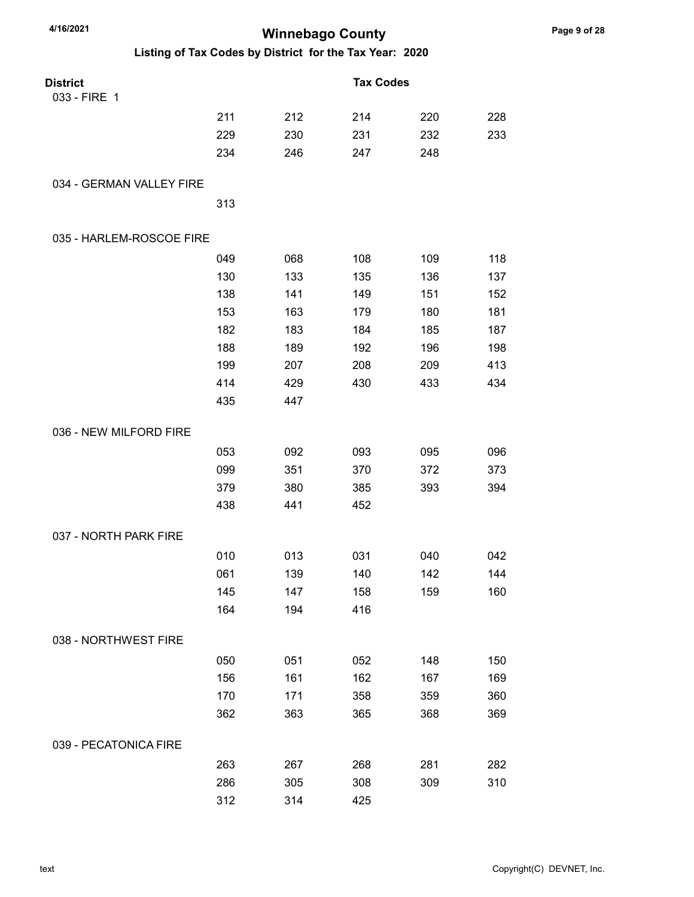| 4/16/2021                                               |     | <b>Winnebago County</b> |                  |     |     |
|---------------------------------------------------------|-----|-------------------------|------------------|-----|-----|
| Listing of Tax Codes by District for the Tax Year: 2020 |     |                         |                  |     |     |
| <b>District</b>                                         |     |                         | <b>Tax Codes</b> |     |     |
| 033 - FIRE 1                                            |     |                         |                  |     |     |
|                                                         | 211 | 212                     | 214              | 220 | 228 |
|                                                         | 229 | 230                     | 231              | 232 | 233 |
|                                                         | 234 | 246                     | 247              | 248 |     |
| 034 - GERMAN VALLEY FIRE                                |     |                         |                  |     |     |
|                                                         | 313 |                         |                  |     |     |
| 035 - HARLEM-ROSCOE FIRE                                |     |                         |                  |     |     |
|                                                         | 049 | 068                     | 108              | 109 | 118 |
|                                                         | 130 | 133                     | 135              | 136 | 137 |
|                                                         | 138 | 141                     | 149              | 151 | 152 |
|                                                         | 153 | 163                     | 179              | 180 | 181 |
|                                                         | 182 | 183                     | 184              | 185 | 187 |
|                                                         | 188 | 189                     | 192              | 196 | 198 |
|                                                         | 199 | 207                     | 208              | 209 | 413 |
|                                                         | 414 | 429                     | 430              | 433 | 434 |
|                                                         | 435 | 447                     |                  |     |     |
| 036 - NEW MILFORD FIRE                                  |     |                         |                  |     |     |
|                                                         | 053 | 092                     | 093              | 095 | 096 |
|                                                         | 099 | 351                     | 370              | 372 | 373 |
|                                                         | 379 | 380                     | 385              | 393 | 394 |
|                                                         | 438 | 441                     | 452              |     |     |
| 037 - NORTH PARK FIRE                                   |     |                         |                  |     |     |
|                                                         | 010 | 013                     | 031              | 040 | 042 |
|                                                         | 061 | 139                     | 140              | 142 | 144 |
|                                                         | 145 | 147                     | 158              | 159 | 160 |
|                                                         | 164 | 194                     | 416              |     |     |
| 038 - NORTHWEST FIRE                                    |     |                         |                  |     |     |
|                                                         | 050 | 051                     | 052              | 148 | 150 |
|                                                         | 156 | 161                     | 162              | 167 | 169 |
|                                                         | 170 | 171                     | 358              | 359 | 360 |
|                                                         | 362 | 363                     | 365              | 368 | 369 |
| 039 - PECATONICA FIRE                                   |     |                         |                  |     |     |
|                                                         | 263 | 267                     | 268              | 281 | 282 |
|                                                         | 286 | 305                     | 308              | 309 | 310 |
|                                                         | 312 | 314                     | 425              |     |     |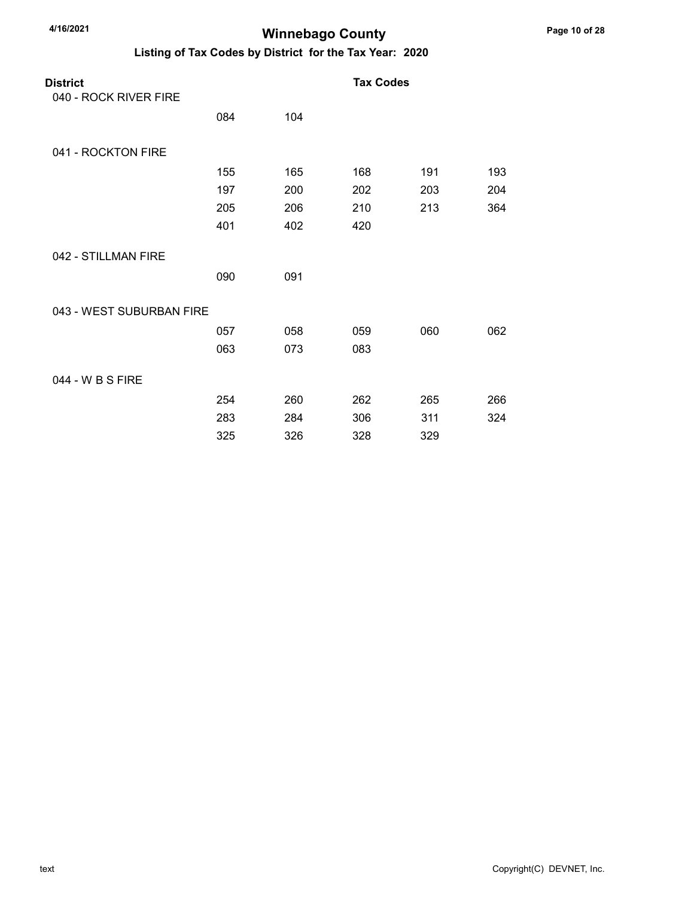| <b>District</b><br>040 - ROCK RIVER FIRE |     |     | <b>Tax Codes</b> |     |     |
|------------------------------------------|-----|-----|------------------|-----|-----|
|                                          | 084 | 104 |                  |     |     |
| 041 - ROCKTON FIRE                       |     |     |                  |     |     |
|                                          | 155 | 165 | 168              | 191 | 193 |
|                                          | 197 | 200 | 202              | 203 | 204 |
|                                          | 205 | 206 | 210              | 213 | 364 |
|                                          | 401 | 402 | 420              |     |     |
| 042 - STILLMAN FIRE                      |     |     |                  |     |     |
|                                          | 090 | 091 |                  |     |     |
| 043 - WEST SUBURBAN FIRE                 |     |     |                  |     |     |
|                                          | 057 | 058 | 059              | 060 | 062 |
|                                          | 063 | 073 | 083              |     |     |
| 044 - W B S FIRE                         |     |     |                  |     |     |
|                                          | 254 | 260 | 262              | 265 | 266 |
|                                          | 283 | 284 | 306              | 311 | 324 |
|                                          | 325 | 326 | 328              | 329 |     |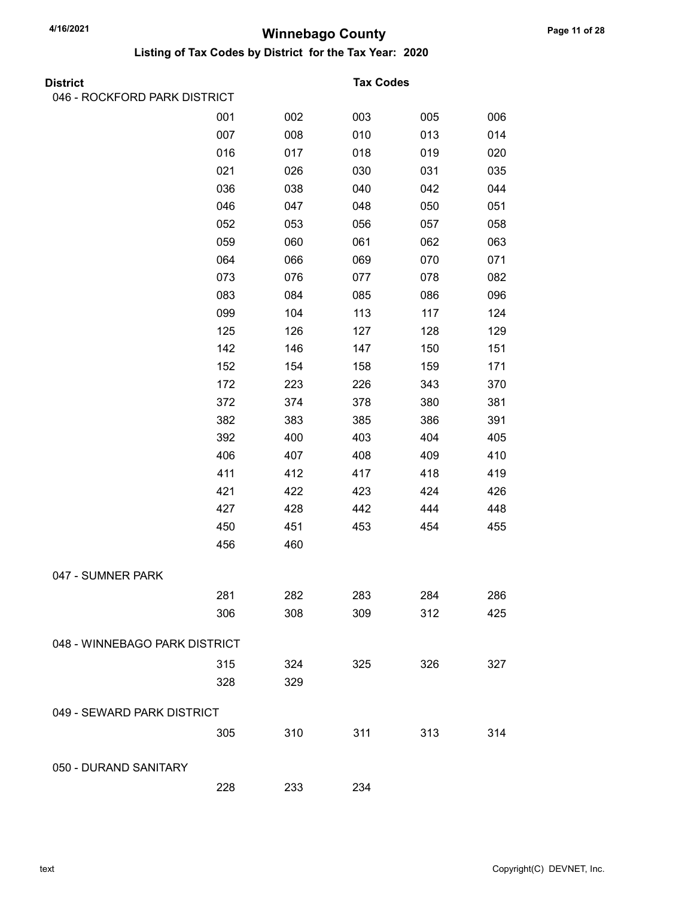| <b>District</b>               |     |     | <b>Tax Codes</b> |     |     |
|-------------------------------|-----|-----|------------------|-----|-----|
| 046 - ROCKFORD PARK DISTRICT  |     |     |                  |     |     |
|                               | 001 | 002 | 003              | 005 | 006 |
|                               | 007 | 008 | 010              | 013 | 014 |
|                               | 016 | 017 | 018              | 019 | 020 |
|                               | 021 | 026 | 030              | 031 | 035 |
|                               | 036 | 038 | 040              | 042 | 044 |
|                               | 046 | 047 | 048              | 050 | 051 |
|                               | 052 | 053 | 056              | 057 | 058 |
|                               | 059 | 060 | 061              | 062 | 063 |
|                               | 064 | 066 | 069              | 070 | 071 |
|                               | 073 | 076 | 077              | 078 | 082 |
|                               | 083 | 084 | 085              | 086 | 096 |
|                               | 099 | 104 | 113              | 117 | 124 |
|                               | 125 | 126 | 127              | 128 | 129 |
|                               | 142 | 146 | 147              | 150 | 151 |
|                               | 152 | 154 | 158              | 159 | 171 |
|                               | 172 | 223 | 226              | 343 | 370 |
|                               | 372 | 374 | 378              | 380 | 381 |
|                               | 382 | 383 | 385              | 386 | 391 |
|                               | 392 | 400 | 403              | 404 | 405 |
|                               | 406 | 407 | 408              | 409 | 410 |
|                               | 411 | 412 | 417              | 418 | 419 |
|                               | 421 | 422 | 423              | 424 | 426 |
|                               | 427 | 428 | 442              | 444 | 448 |
|                               | 450 | 451 | 453              | 454 | 455 |
|                               | 456 | 460 |                  |     |     |
| 047 - SUMNER PARK             |     |     |                  |     |     |
|                               | 281 | 282 | 283              | 284 | 286 |
|                               | 306 | 308 | 309              | 312 | 425 |
| 048 - WINNEBAGO PARK DISTRICT |     |     |                  |     |     |
|                               | 315 | 324 | 325              | 326 | 327 |
|                               | 328 | 329 |                  |     |     |
| 049 - SEWARD PARK DISTRICT    |     |     |                  |     |     |
|                               | 305 | 310 | 311              | 313 | 314 |
|                               |     |     |                  |     |     |
| 050 - DURAND SANITARY         |     |     |                  |     |     |
|                               | 228 | 233 | 234              |     |     |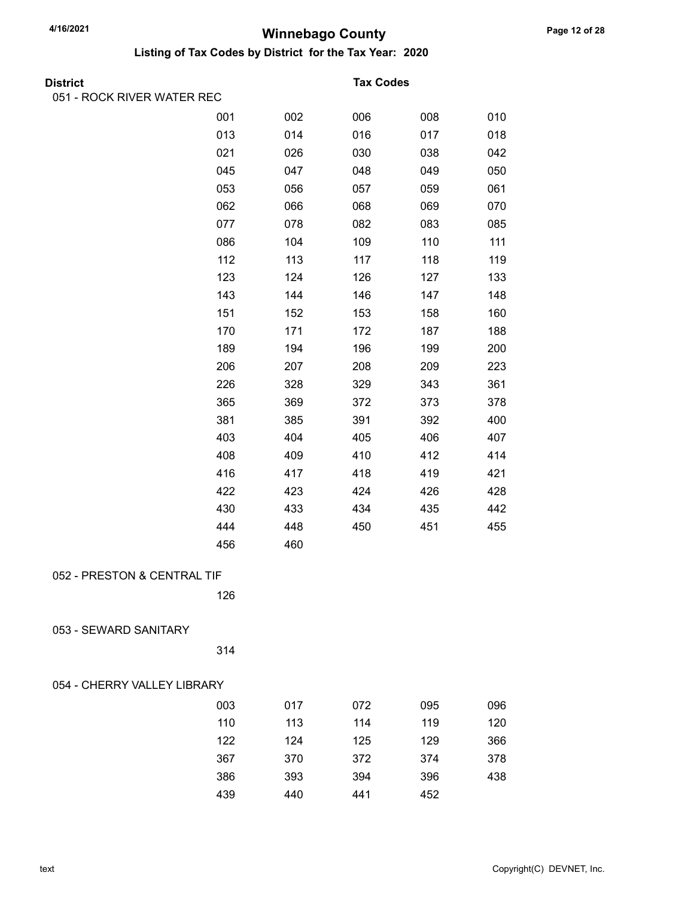| <b>District</b>             |     |     | <b>Tax Codes</b> |     |     |  |
|-----------------------------|-----|-----|------------------|-----|-----|--|
| 051 - ROCK RIVER WATER REC  |     |     |                  |     |     |  |
|                             | 001 | 002 | 006              | 008 | 010 |  |
|                             | 013 | 014 | 016              | 017 | 018 |  |
|                             | 021 | 026 | 030              | 038 | 042 |  |
|                             | 045 | 047 | 048              | 049 | 050 |  |
|                             | 053 | 056 | 057              | 059 | 061 |  |
|                             | 062 | 066 | 068              | 069 | 070 |  |
|                             | 077 | 078 | 082              | 083 | 085 |  |
|                             | 086 | 104 | 109              | 110 | 111 |  |
|                             | 112 | 113 | 117              | 118 | 119 |  |
|                             | 123 | 124 | 126              | 127 | 133 |  |
|                             | 143 | 144 | 146              | 147 | 148 |  |
|                             | 151 | 152 | 153              | 158 | 160 |  |
|                             | 170 | 171 | 172              | 187 | 188 |  |
|                             | 189 | 194 | 196              | 199 | 200 |  |
|                             | 206 | 207 | 208              | 209 | 223 |  |
|                             | 226 | 328 | 329              | 343 | 361 |  |
|                             | 365 | 369 | 372              | 373 | 378 |  |
|                             | 381 | 385 | 391              | 392 | 400 |  |
|                             | 403 | 404 | 405              | 406 | 407 |  |
|                             | 408 | 409 | 410              | 412 | 414 |  |
|                             | 416 | 417 | 418              | 419 | 421 |  |
|                             | 422 | 423 | 424              | 426 | 428 |  |
|                             | 430 | 433 | 434              | 435 | 442 |  |
|                             | 444 | 448 | 450              | 451 | 455 |  |
|                             | 456 | 460 |                  |     |     |  |
| 052 - PRESTON & CENTRAL TIF |     |     |                  |     |     |  |
|                             |     |     |                  |     |     |  |
|                             | 126 |     |                  |     |     |  |
| 053 - SEWARD SANITARY       |     |     |                  |     |     |  |
|                             | 314 |     |                  |     |     |  |
| 054 - CHERRY VALLEY LIBRARY |     |     |                  |     |     |  |
|                             | 003 | 017 | 072              | 095 | 096 |  |
|                             | 110 | 113 | 114              | 119 | 120 |  |
|                             | 122 | 124 | 125              | 129 | 366 |  |
|                             | 367 | 370 | 372              | 374 | 378 |  |
|                             | 386 | 393 | 394              | 396 | 438 |  |
|                             | 439 | 440 | 441              | 452 |     |  |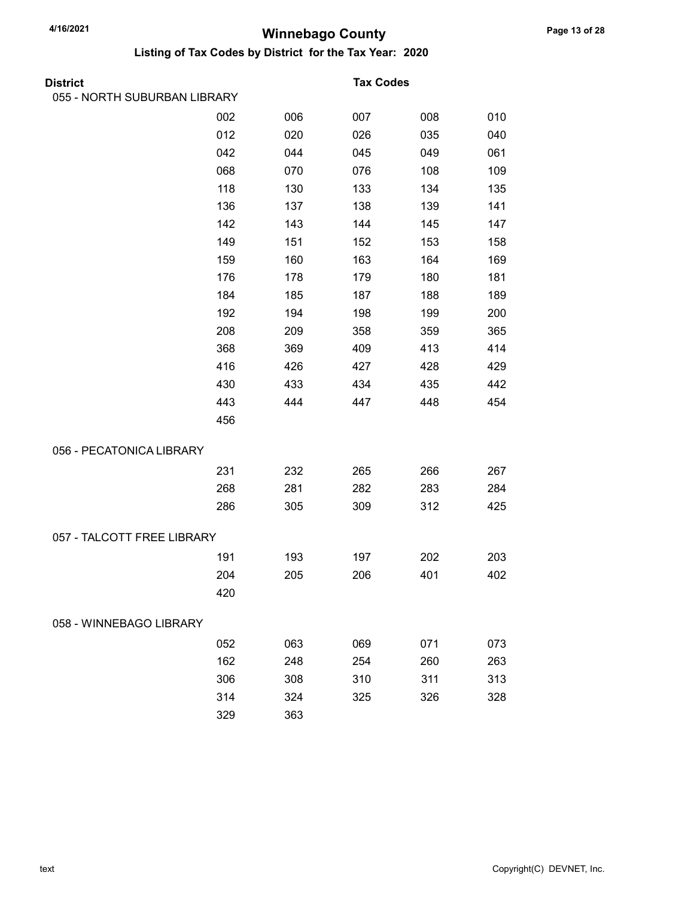| District                     |     |     | <b>Tax Codes</b> |     |     |
|------------------------------|-----|-----|------------------|-----|-----|
| 055 - NORTH SUBURBAN LIBRARY |     |     |                  |     |     |
|                              | 002 | 006 | 007              | 008 | 010 |
|                              | 012 | 020 | 026              | 035 | 040 |
|                              | 042 | 044 | 045              | 049 | 061 |
|                              | 068 | 070 | 076              | 108 | 109 |
|                              | 118 | 130 | 133              | 134 | 135 |
|                              | 136 | 137 | 138              | 139 | 141 |
|                              | 142 | 143 | 144              | 145 | 147 |
|                              | 149 | 151 | 152              | 153 | 158 |
|                              | 159 | 160 | 163              | 164 | 169 |
|                              | 176 | 178 | 179              | 180 | 181 |
|                              | 184 | 185 | 187              | 188 | 189 |
|                              | 192 | 194 | 198              | 199 | 200 |
|                              | 208 | 209 | 358              | 359 | 365 |
|                              | 368 | 369 | 409              | 413 | 414 |
|                              | 416 | 426 | 427              | 428 | 429 |
|                              | 430 | 433 | 434              | 435 | 442 |
|                              | 443 | 444 | 447              | 448 | 454 |
|                              | 456 |     |                  |     |     |
| 056 - PECATONICA LIBRARY     |     |     |                  |     |     |
|                              | 231 | 232 | 265              | 266 | 267 |
|                              | 268 | 281 | 282              | 283 | 284 |
|                              | 286 | 305 | 309              | 312 | 425 |
| 057 - TALCOTT FREE LIBRARY   |     |     |                  |     |     |
|                              | 191 | 193 | 197              | 202 | 203 |
|                              | 204 | 205 | 206              | 401 | 402 |
|                              | 420 |     |                  |     |     |
| 058 - WINNEBAGO LIBRARY      |     |     |                  |     |     |
|                              | 052 | 063 | 069              | 071 | 073 |
|                              | 162 | 248 | 254              | 260 | 263 |
|                              | 306 | 308 | 310              | 311 | 313 |
|                              | 314 | 324 | 325              | 326 | 328 |
|                              | 329 | 363 |                  |     |     |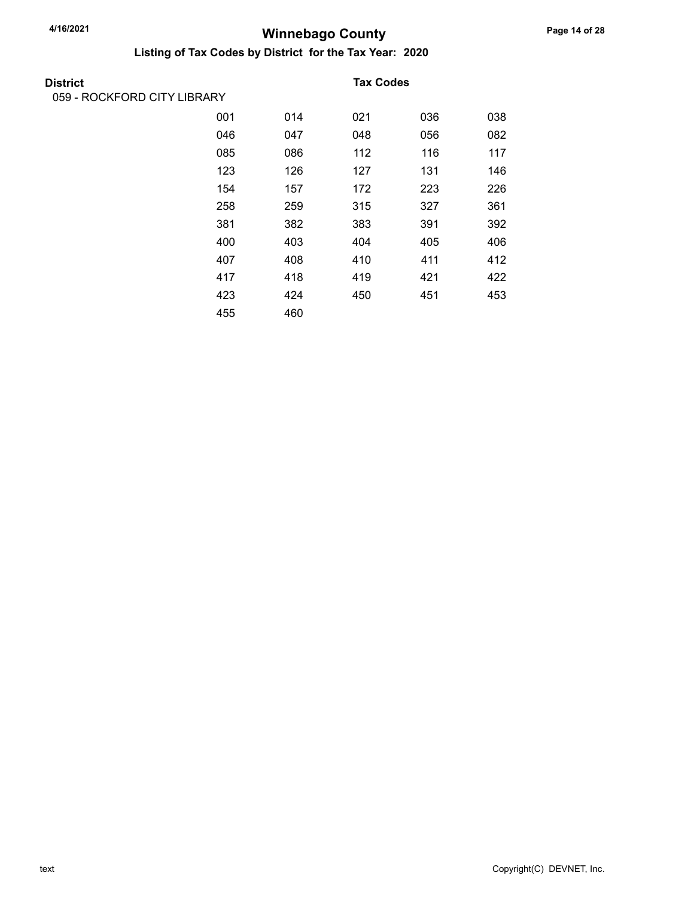| District                    |     |     | <b>Tax Codes</b> |     |     |
|-----------------------------|-----|-----|------------------|-----|-----|
| 059 - ROCKFORD CITY LIBRARY |     |     |                  |     |     |
|                             | 001 | 014 | 021              | 036 | 038 |
|                             | 046 | 047 | 048              | 056 | 082 |
|                             | 085 | 086 | 112              | 116 | 117 |
|                             | 123 | 126 | 127              | 131 | 146 |
|                             | 154 | 157 | 172              | 223 | 226 |
|                             | 258 | 259 | 315              | 327 | 361 |
|                             | 381 | 382 | 383              | 391 | 392 |
|                             | 400 | 403 | 404              | 405 | 406 |
|                             | 407 | 408 | 410              | 411 | 412 |
|                             | 417 | 418 | 419              | 421 | 422 |
|                             | 423 | 424 | 450              | 451 | 453 |
|                             | 455 | 460 |                  |     |     |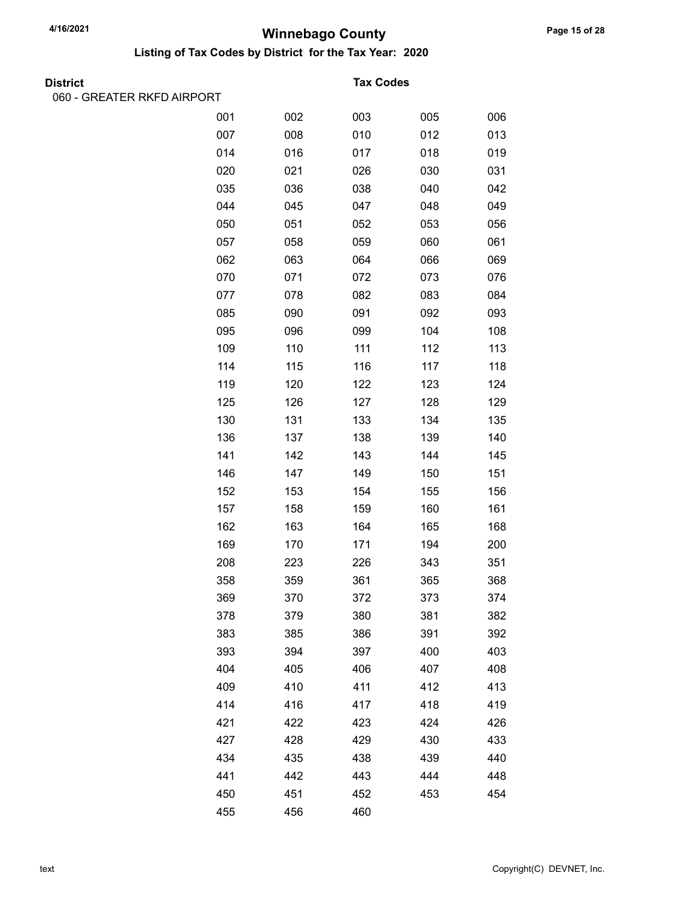Listing of Tax Codes by District for the Tax Year: 2020

| District |  |
|----------|--|

060 - GREATER RKFD AIRPORT

#### **Tax Codes**

| L |     |     |     |     |     |
|---|-----|-----|-----|-----|-----|
|   | 001 | 002 | 003 | 005 | 006 |
|   | 007 | 008 | 010 | 012 | 013 |
|   | 014 | 016 | 017 | 018 | 019 |
|   | 020 | 021 | 026 | 030 | 031 |
|   | 035 | 036 | 038 | 040 | 042 |
|   | 044 | 045 | 047 | 048 | 049 |
|   | 050 | 051 | 052 | 053 | 056 |
|   | 057 | 058 | 059 | 060 | 061 |
|   | 062 | 063 | 064 | 066 | 069 |
|   | 070 | 071 | 072 | 073 | 076 |
|   | 077 | 078 | 082 | 083 | 084 |
|   | 085 | 090 | 091 | 092 | 093 |
|   | 095 | 096 | 099 | 104 | 108 |
|   | 109 | 110 | 111 | 112 | 113 |
|   | 114 | 115 | 116 | 117 | 118 |
|   | 119 | 120 | 122 | 123 | 124 |
|   | 125 | 126 | 127 | 128 | 129 |
|   | 130 | 131 | 133 | 134 | 135 |
|   | 136 | 137 | 138 | 139 | 140 |
|   | 141 | 142 | 143 | 144 | 145 |
|   | 146 | 147 | 149 | 150 | 151 |
|   | 152 | 153 | 154 | 155 | 156 |
|   | 157 | 158 | 159 | 160 | 161 |
|   | 162 | 163 | 164 | 165 | 168 |
|   | 169 | 170 | 171 | 194 | 200 |
|   | 208 | 223 | 226 | 343 | 351 |
|   | 358 | 359 | 361 | 365 | 368 |
|   | 369 | 370 | 372 | 373 | 374 |
|   | 378 | 379 | 380 | 381 | 382 |
|   | 383 | 385 | 386 | 391 | 392 |
|   | 393 | 394 | 397 | 400 | 403 |
|   | 404 | 405 | 406 | 407 | 408 |
|   | 409 | 410 | 411 | 412 | 413 |
|   | 414 | 416 | 417 | 418 | 419 |
|   | 421 | 422 | 423 | 424 | 426 |
|   | 427 | 428 | 429 | 430 | 433 |
|   | 434 | 435 | 438 | 439 | 440 |
|   | 441 | 442 | 443 | 444 | 448 |
|   | 450 | 451 | 452 | 453 | 454 |
|   | 455 | 456 | 460 |     |     |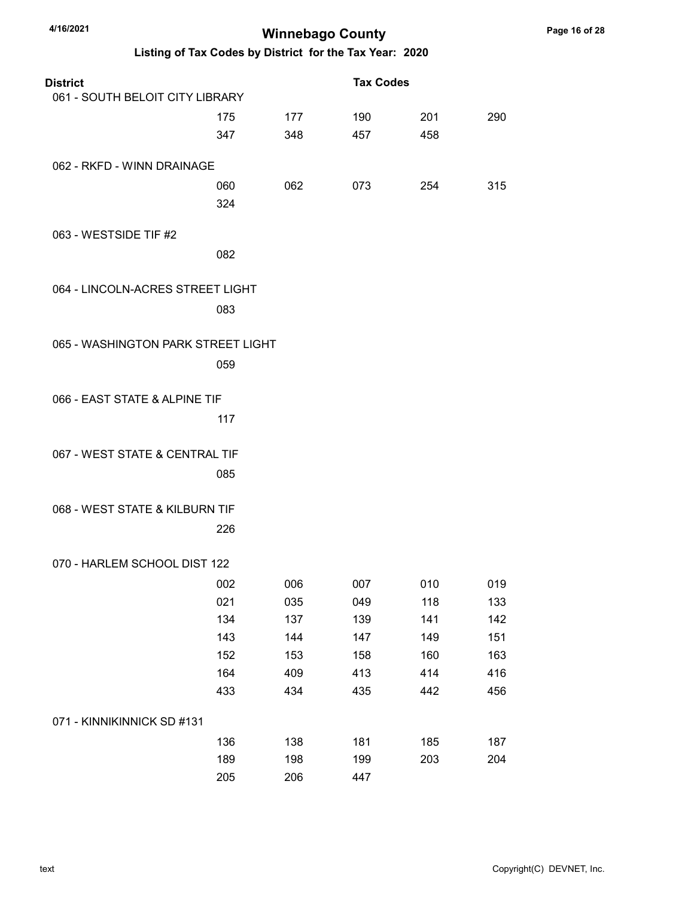| 4/16/2021                          | <b>Winnebago County</b> |     |                                                         |     |     |
|------------------------------------|-------------------------|-----|---------------------------------------------------------|-----|-----|
|                                    |                         |     | Listing of Tax Codes by District for the Tax Year: 2020 |     |     |
| <b>District</b>                    |                         |     | <b>Tax Codes</b>                                        |     |     |
| 061 - SOUTH BELOIT CITY LIBRARY    |                         |     |                                                         |     |     |
|                                    | 175                     | 177 | 190                                                     | 201 | 290 |
|                                    | 347                     | 348 | 457                                                     | 458 |     |
| 062 - RKFD - WINN DRAINAGE         |                         |     |                                                         |     |     |
|                                    | 060                     | 062 | 073                                                     | 254 | 315 |
|                                    | 324                     |     |                                                         |     |     |
| 063 - WESTSIDE TIF #2              |                         |     |                                                         |     |     |
|                                    | 082                     |     |                                                         |     |     |
| 064 - LINCOLN-ACRES STREET LIGHT   |                         |     |                                                         |     |     |
|                                    | 083                     |     |                                                         |     |     |
|                                    |                         |     |                                                         |     |     |
| 065 - WASHINGTON PARK STREET LIGHT |                         |     |                                                         |     |     |
|                                    | 059                     |     |                                                         |     |     |
| 066 - EAST STATE & ALPINE TIF      |                         |     |                                                         |     |     |
|                                    | 117                     |     |                                                         |     |     |
|                                    |                         |     |                                                         |     |     |
| 067 - WEST STATE & CENTRAL TIF     |                         |     |                                                         |     |     |
|                                    | 085                     |     |                                                         |     |     |
| 068 - WEST STATE & KILBURN TIF     |                         |     |                                                         |     |     |
|                                    | 226                     |     |                                                         |     |     |
|                                    |                         |     |                                                         |     |     |
| 070 - HARLEM SCHOOL DIST 122       |                         |     |                                                         |     |     |
|                                    | 002                     | 006 | 007                                                     | 010 | 019 |
|                                    | 021                     | 035 | 049                                                     | 118 | 133 |
|                                    | 134                     | 137 | 139                                                     | 141 | 142 |
|                                    | 143                     | 144 | 147                                                     | 149 | 151 |
|                                    | 152                     | 153 | 158                                                     | 160 | 163 |
|                                    | 164                     | 409 | 413                                                     | 414 | 416 |
|                                    | 433                     | 434 | 435                                                     | 442 | 456 |
| 071 - KINNIKINNICK SD #131         |                         |     |                                                         |     |     |
|                                    | 136                     | 138 | 181                                                     | 185 | 187 |
|                                    | 189                     | 198 | 199                                                     | 203 | 204 |
|                                    | 205                     | 206 | 447                                                     |     |     |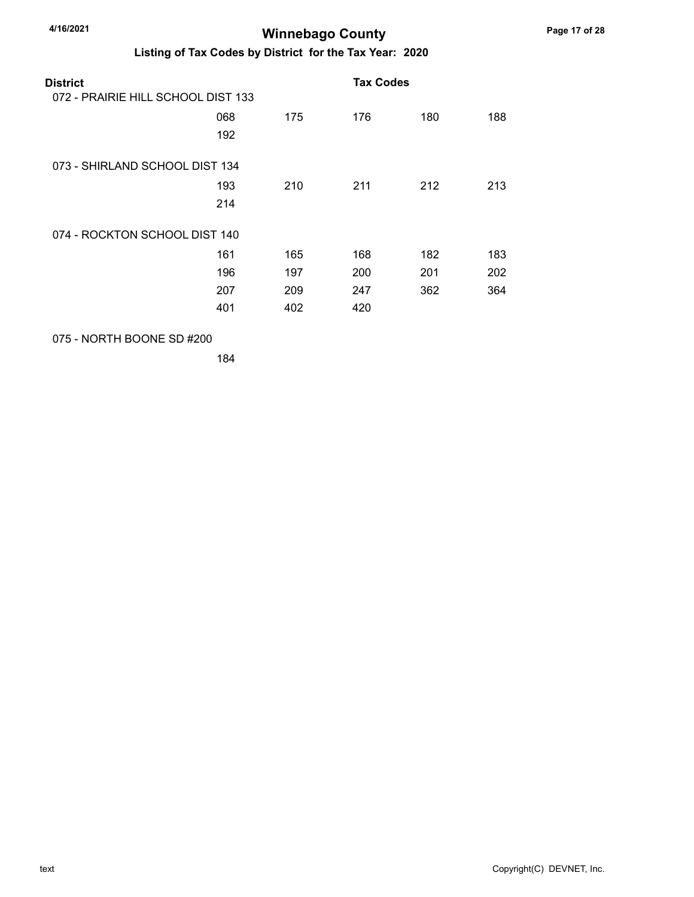Listing of Tax Codes by District for the Tax Year: 2020

| District<br>072 - PRAIRIE HILL SCHOOL DIST 133 |     |     | <b>Tax Codes</b> |     |     |  |
|------------------------------------------------|-----|-----|------------------|-----|-----|--|
|                                                |     |     |                  |     |     |  |
|                                                | 068 | 175 | 176              | 180 | 188 |  |
|                                                | 192 |     |                  |     |     |  |
| 073 - SHIRLAND SCHOOL DIST 134                 |     |     |                  |     |     |  |
|                                                | 193 | 210 | 211              | 212 | 213 |  |
|                                                | 214 |     |                  |     |     |  |
| 074 - ROCKTON SCHOOL DIST 140                  |     |     |                  |     |     |  |
|                                                | 161 | 165 | 168              | 182 | 183 |  |
|                                                | 196 | 197 | 200              | 201 | 202 |  |
|                                                | 207 | 209 | 247              | 362 | 364 |  |
|                                                | 401 | 402 | 420              |     |     |  |
|                                                |     |     |                  |     |     |  |

075 - NORTH BOONE SD #200

184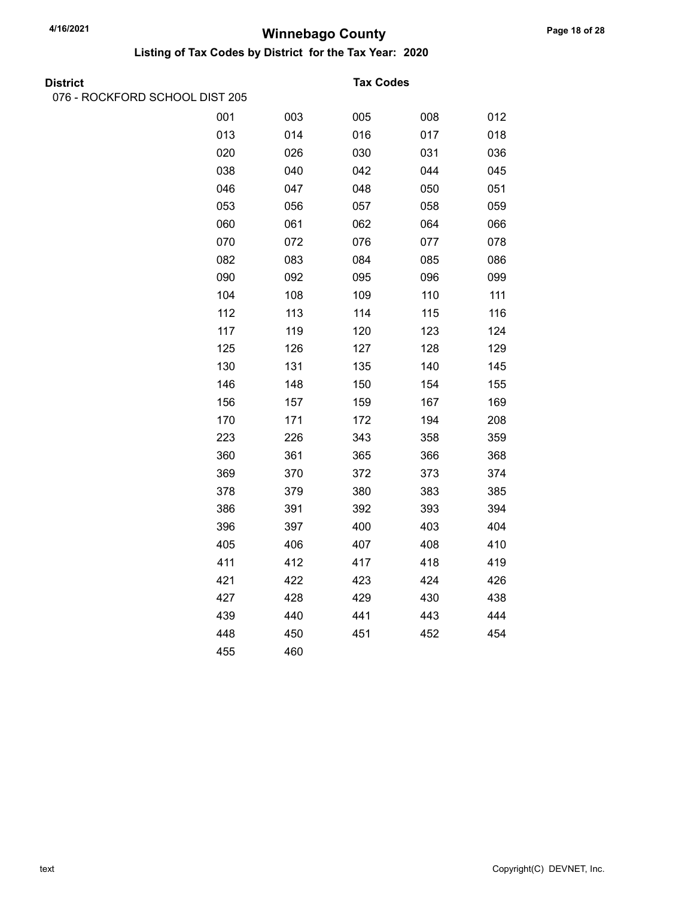Listing of Tax Codes by District for the Tax Year: 2020

076 - ROCKFORD SCHOOL DIST 205

#### **Tax Codes**

| 001 | 003 | 005 | 008 | 012 |
|-----|-----|-----|-----|-----|
| 013 | 014 | 016 | 017 | 018 |
| 020 | 026 | 030 | 031 | 036 |
| 038 | 040 | 042 | 044 | 045 |
| 046 | 047 | 048 | 050 | 051 |
| 053 | 056 | 057 | 058 | 059 |
| 060 | 061 | 062 | 064 | 066 |
| 070 | 072 | 076 | 077 | 078 |
| 082 | 083 | 084 | 085 | 086 |
| 090 | 092 | 095 | 096 | 099 |
| 104 | 108 | 109 | 110 | 111 |
| 112 | 113 | 114 | 115 | 116 |
| 117 | 119 | 120 | 123 | 124 |
| 125 | 126 | 127 | 128 | 129 |
| 130 | 131 | 135 | 140 | 145 |
| 146 | 148 | 150 | 154 | 155 |
| 156 | 157 | 159 | 167 | 169 |
| 170 | 171 | 172 | 194 | 208 |
| 223 | 226 | 343 | 358 | 359 |
| 360 | 361 | 365 | 366 | 368 |
| 369 | 370 | 372 | 373 | 374 |
| 378 | 379 | 380 | 383 | 385 |
| 386 | 391 | 392 | 393 | 394 |
| 396 | 397 | 400 | 403 | 404 |
| 405 | 406 | 407 | 408 | 410 |
| 411 | 412 | 417 | 418 | 419 |
| 421 | 422 | 423 | 424 | 426 |
| 427 | 428 | 429 | 430 | 438 |
| 439 | 440 | 441 | 443 | 444 |
| 448 | 450 | 451 | 452 | 454 |
| 455 | 460 |     |     |     |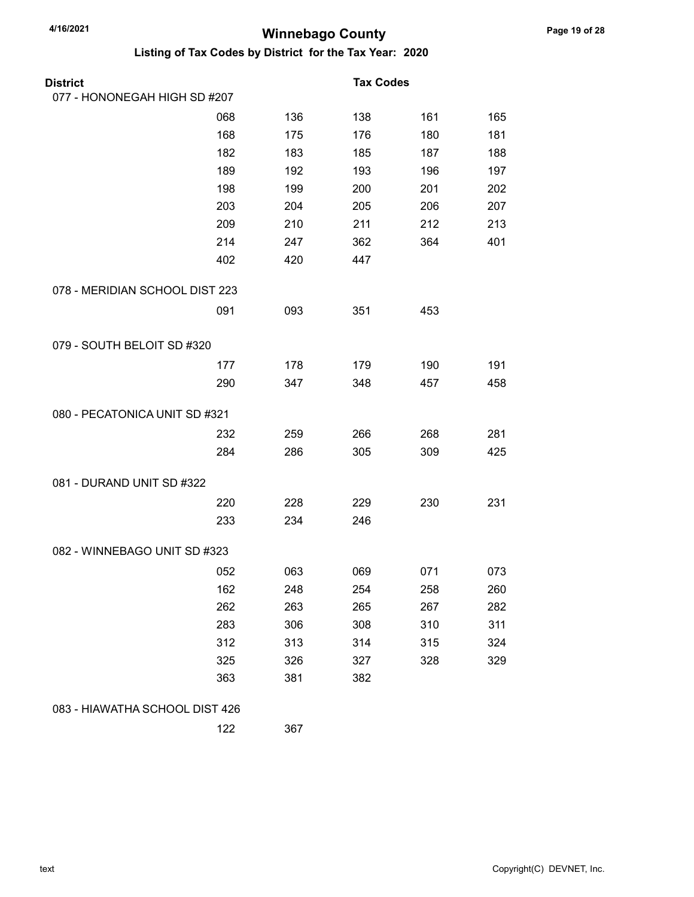| <b>District</b>                |     |     | <b>Tax Codes</b> |     |     |
|--------------------------------|-----|-----|------------------|-----|-----|
| 077 - HONONEGAH HIGH SD #207   |     |     |                  |     |     |
|                                | 068 | 136 | 138              | 161 | 165 |
|                                | 168 | 175 | 176              | 180 | 181 |
|                                | 182 | 183 | 185              | 187 | 188 |
|                                | 189 | 192 | 193              | 196 | 197 |
|                                | 198 | 199 | 200              | 201 | 202 |
|                                | 203 | 204 | 205              | 206 | 207 |
|                                | 209 | 210 | 211              | 212 | 213 |
|                                | 214 | 247 | 362              | 364 | 401 |
|                                | 402 | 420 | 447              |     |     |
| 078 - MERIDIAN SCHOOL DIST 223 |     |     |                  |     |     |
|                                | 091 | 093 | 351              | 453 |     |
| 079 - SOUTH BELOIT SD #320     |     |     |                  |     |     |
|                                | 177 | 178 | 179              | 190 | 191 |
|                                | 290 | 347 | 348              | 457 | 458 |
| 080 - PECATONICA UNIT SD #321  |     |     |                  |     |     |
|                                | 232 | 259 | 266              | 268 | 281 |
|                                | 284 | 286 | 305              | 309 | 425 |
| 081 - DURAND UNIT SD #322      |     |     |                  |     |     |
|                                | 220 | 228 | 229              | 230 | 231 |
|                                | 233 | 234 | 246              |     |     |
| 082 - WINNEBAGO UNIT SD #323   |     |     |                  |     |     |
|                                | 052 | 063 | 069              | 071 | 073 |
|                                | 162 | 248 | 254              | 258 | 260 |
|                                | 262 | 263 | 265              | 267 | 282 |
|                                | 283 | 306 | 308              | 310 | 311 |
|                                | 312 | 313 | 314              | 315 | 324 |
|                                | 325 | 326 | 327              | 328 | 329 |
|                                | 363 | 381 | 382              |     |     |
| 083 - HIAWATHA SCHOOL DIST 426 |     |     |                  |     |     |
|                                | 122 | 367 |                  |     |     |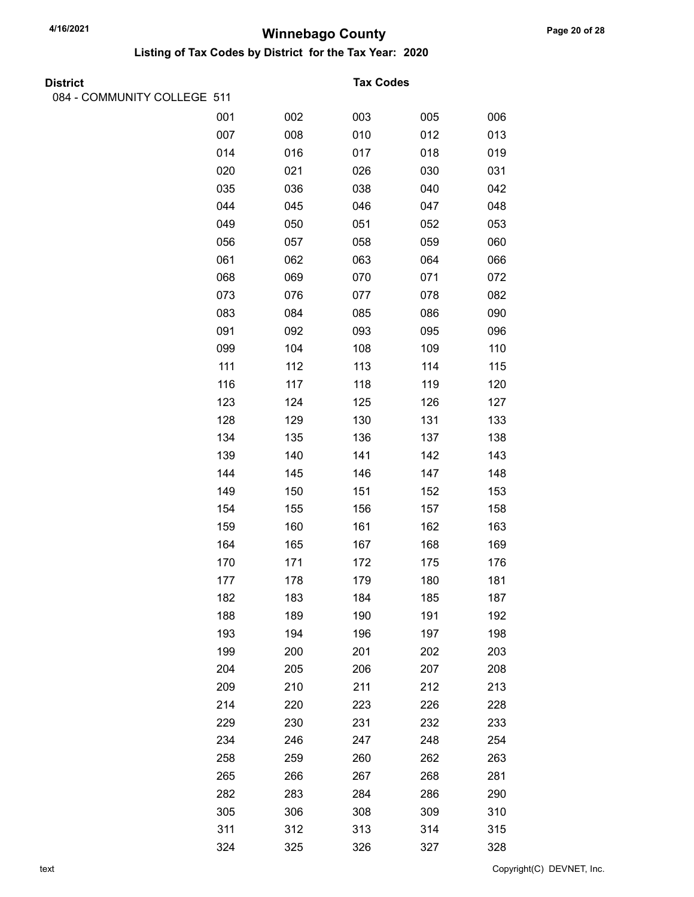| <b>District</b>             |     |     | <b>Tax Codes</b> |     |     |
|-----------------------------|-----|-----|------------------|-----|-----|
| 084 - COMMUNITY COLLEGE 511 |     |     |                  |     |     |
|                             | 001 | 002 | 003              | 005 | 006 |
|                             | 007 | 008 | 010              | 012 | 013 |
|                             | 014 | 016 | 017              | 018 | 019 |
|                             | 020 | 021 | 026              | 030 | 031 |
|                             | 035 | 036 | 038              | 040 | 042 |
|                             | 044 | 045 | 046              | 047 | 048 |
|                             | 049 | 050 | 051              | 052 | 053 |
|                             | 056 | 057 | 058              | 059 | 060 |
|                             | 061 | 062 | 063              | 064 | 066 |
|                             | 068 | 069 | 070              | 071 | 072 |
|                             | 073 | 076 | 077              | 078 | 082 |
|                             | 083 | 084 | 085              | 086 | 090 |
|                             | 091 | 092 | 093              | 095 | 096 |
|                             | 099 | 104 | 108              | 109 | 110 |
|                             | 111 | 112 | 113              | 114 | 115 |
|                             | 116 | 117 | 118              | 119 | 120 |
|                             | 123 | 124 | 125              | 126 | 127 |
|                             | 128 | 129 | 130              | 131 | 133 |
|                             | 134 | 135 | 136              | 137 | 138 |
|                             | 139 | 140 | 141              | 142 | 143 |
|                             | 144 | 145 | 146              | 147 | 148 |
|                             | 149 | 150 | 151              | 152 | 153 |
|                             | 154 | 155 | 156              | 157 | 158 |
|                             | 159 | 160 | 161              | 162 | 163 |
|                             | 164 | 165 | 167              | 168 | 169 |
|                             | 170 | 171 | 172              | 175 | 176 |
|                             | 177 | 178 | 179              | 180 | 181 |
|                             | 182 | 183 | 184              | 185 | 187 |
|                             | 188 | 189 | 190              | 191 | 192 |
|                             | 193 | 194 | 196              | 197 | 198 |
|                             | 199 | 200 | 201              | 202 | 203 |
|                             | 204 | 205 | 206              | 207 | 208 |
|                             | 209 | 210 | 211              | 212 | 213 |
|                             | 214 | 220 | 223              | 226 | 228 |
|                             | 229 | 230 | 231              | 232 | 233 |
|                             | 234 | 246 | 247              | 248 | 254 |
|                             | 258 | 259 | 260              | 262 | 263 |
|                             | 265 | 266 | 267              | 268 | 281 |
|                             | 282 | 283 | 284              | 286 | 290 |
|                             | 305 | 306 | 308              | 309 | 310 |
|                             | 311 | 312 | 313              | 314 | 315 |
|                             | 324 | 325 | 326              | 327 | 328 |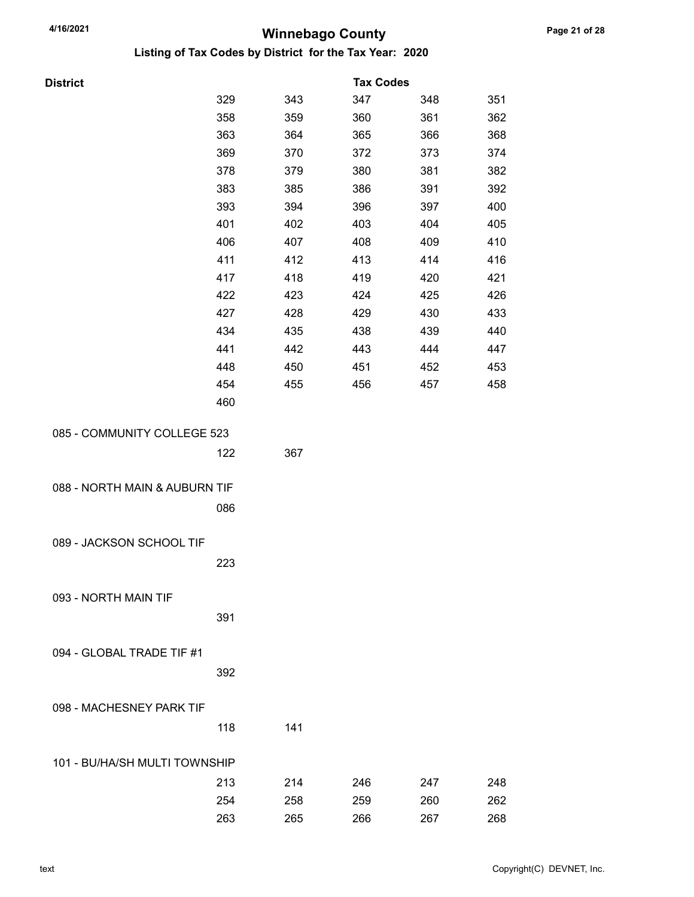| <b>District</b>               |     |     | <b>Tax Codes</b> |     |     |
|-------------------------------|-----|-----|------------------|-----|-----|
|                               | 329 | 343 | 347              | 348 | 351 |
|                               | 358 | 359 | 360              | 361 | 362 |
|                               | 363 | 364 | 365              | 366 | 368 |
|                               | 369 | 370 | 372              | 373 | 374 |
|                               | 378 | 379 | 380              | 381 | 382 |
|                               | 383 | 385 | 386              | 391 | 392 |
|                               | 393 | 394 | 396              | 397 | 400 |
|                               | 401 | 402 | 403              | 404 | 405 |
|                               | 406 | 407 | 408              | 409 | 410 |
|                               | 411 | 412 | 413              | 414 | 416 |
|                               | 417 | 418 | 419              | 420 | 421 |
|                               | 422 | 423 | 424              | 425 | 426 |
|                               | 427 | 428 | 429              | 430 | 433 |
|                               | 434 | 435 | 438              | 439 | 440 |
|                               | 441 | 442 | 443              | 444 | 447 |
|                               | 448 | 450 | 451              | 452 | 453 |
|                               | 454 | 455 | 456              | 457 | 458 |
|                               | 460 |     |                  |     |     |
| 085 - COMMUNITY COLLEGE 523   |     |     |                  |     |     |
|                               |     |     |                  |     |     |
|                               | 122 | 367 |                  |     |     |
|                               |     |     |                  |     |     |
| 088 - NORTH MAIN & AUBURN TIF |     |     |                  |     |     |
|                               | 086 |     |                  |     |     |
|                               |     |     |                  |     |     |
| 089 - JACKSON SCHOOL TIF      |     |     |                  |     |     |
|                               | 223 |     |                  |     |     |
|                               |     |     |                  |     |     |
| 093 - NORTH MAIN TIF          |     |     |                  |     |     |
|                               | 391 |     |                  |     |     |
|                               |     |     |                  |     |     |
| 094 - GLOBAL TRADE TIF #1     |     |     |                  |     |     |
|                               | 392 |     |                  |     |     |
|                               |     |     |                  |     |     |
| 098 - MACHESNEY PARK TIF      |     |     |                  |     |     |
|                               | 118 | 141 |                  |     |     |
|                               |     |     |                  |     |     |
| 101 - BU/HA/SH MULTI TOWNSHIP |     |     |                  |     |     |
|                               | 213 | 214 | 246              | 247 | 248 |
|                               | 254 | 258 | 259              | 260 | 262 |
|                               | 263 | 265 | 266              | 267 | 268 |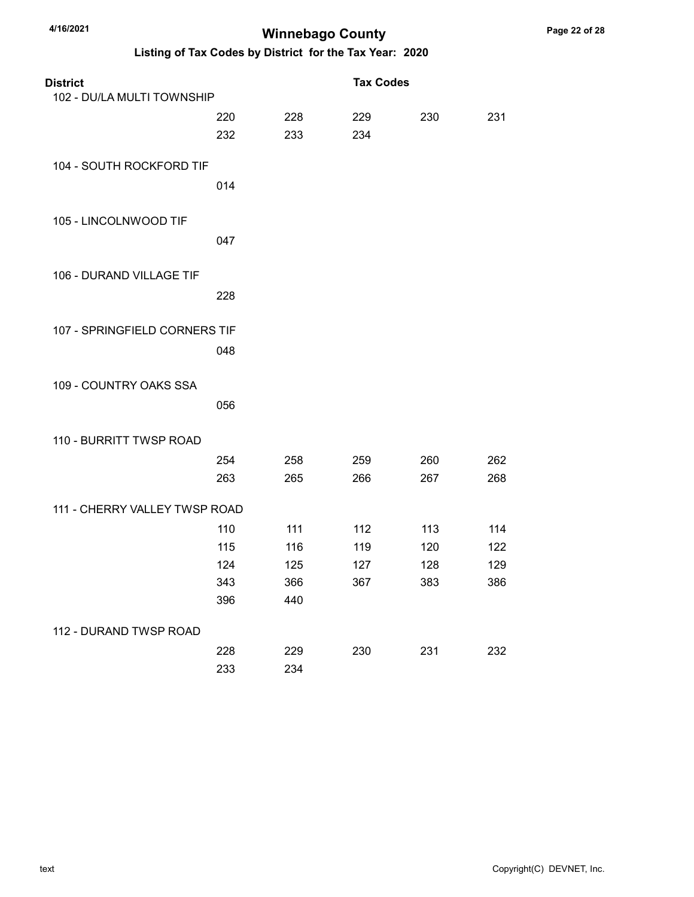| <b>District</b>               |     |     | <b>Tax Codes</b> |     |     |
|-------------------------------|-----|-----|------------------|-----|-----|
| 102 - DU/LA MULTI TOWNSHIP    |     |     |                  |     |     |
|                               | 220 | 228 | 229              | 230 | 231 |
|                               | 232 | 233 | 234              |     |     |
| 104 - SOUTH ROCKFORD TIF      |     |     |                  |     |     |
|                               | 014 |     |                  |     |     |
| 105 - LINCOLNWOOD TIF         |     |     |                  |     |     |
|                               | 047 |     |                  |     |     |
| 106 - DURAND VILLAGE TIF      |     |     |                  |     |     |
|                               | 228 |     |                  |     |     |
| 107 - SPRINGFIELD CORNERS TIF |     |     |                  |     |     |
|                               | 048 |     |                  |     |     |
| 109 - COUNTRY OAKS SSA        |     |     |                  |     |     |
|                               | 056 |     |                  |     |     |
| 110 - BURRITT TWSP ROAD       |     |     |                  |     |     |
|                               | 254 | 258 | 259              | 260 | 262 |
|                               | 263 | 265 | 266              | 267 | 268 |
| 111 - CHERRY VALLEY TWSP ROAD |     |     |                  |     |     |
|                               | 110 | 111 | 112              | 113 | 114 |
|                               | 115 | 116 | 119              | 120 | 122 |
|                               | 124 | 125 | 127              | 128 | 129 |
|                               | 343 | 366 | 367              | 383 | 386 |
|                               | 396 | 440 |                  |     |     |
| 112 - DURAND TWSP ROAD        |     |     |                  |     |     |
|                               | 228 | 229 | 230              | 231 | 232 |
|                               | 233 | 234 |                  |     |     |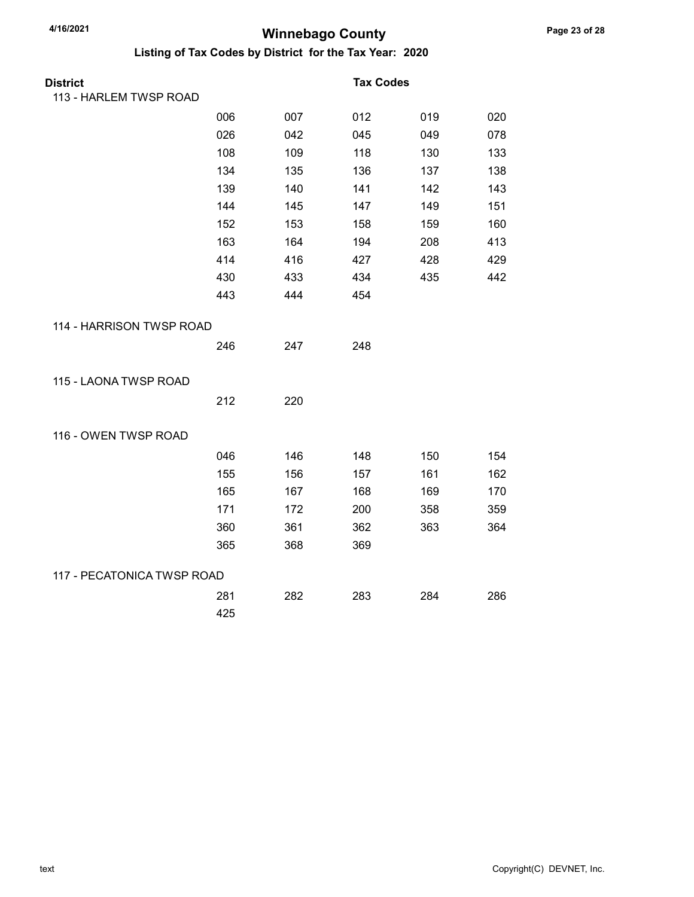| <b>District</b>            |     |     | <b>Tax Codes</b> |     |     |
|----------------------------|-----|-----|------------------|-----|-----|
| 113 - HARLEM TWSP ROAD     |     |     |                  |     |     |
|                            | 006 | 007 | 012              | 019 | 020 |
|                            | 026 | 042 | 045              | 049 | 078 |
|                            | 108 | 109 | 118              | 130 | 133 |
|                            | 134 | 135 | 136              | 137 | 138 |
|                            | 139 | 140 | 141              | 142 | 143 |
|                            | 144 | 145 | 147              | 149 | 151 |
|                            | 152 | 153 | 158              | 159 | 160 |
|                            | 163 | 164 | 194              | 208 | 413 |
|                            | 414 | 416 | 427              | 428 | 429 |
|                            | 430 | 433 | 434              | 435 | 442 |
|                            | 443 | 444 | 454              |     |     |
| 114 - HARRISON TWSP ROAD   |     |     |                  |     |     |
|                            | 246 | 247 | 248              |     |     |
| 115 - LAONA TWSP ROAD      |     |     |                  |     |     |
|                            | 212 | 220 |                  |     |     |
| 116 - OWEN TWSP ROAD       |     |     |                  |     |     |
|                            | 046 | 146 | 148              | 150 | 154 |
|                            | 155 | 156 | 157              | 161 | 162 |
|                            | 165 | 167 | 168              | 169 | 170 |
|                            | 171 | 172 | 200              | 358 | 359 |
|                            | 360 | 361 | 362              | 363 | 364 |
|                            | 365 | 368 | 369              |     |     |
| 117 - PECATONICA TWSP ROAD |     |     |                  |     |     |
|                            | 281 | 282 | 283              | 284 | 286 |
|                            | 425 |     |                  |     |     |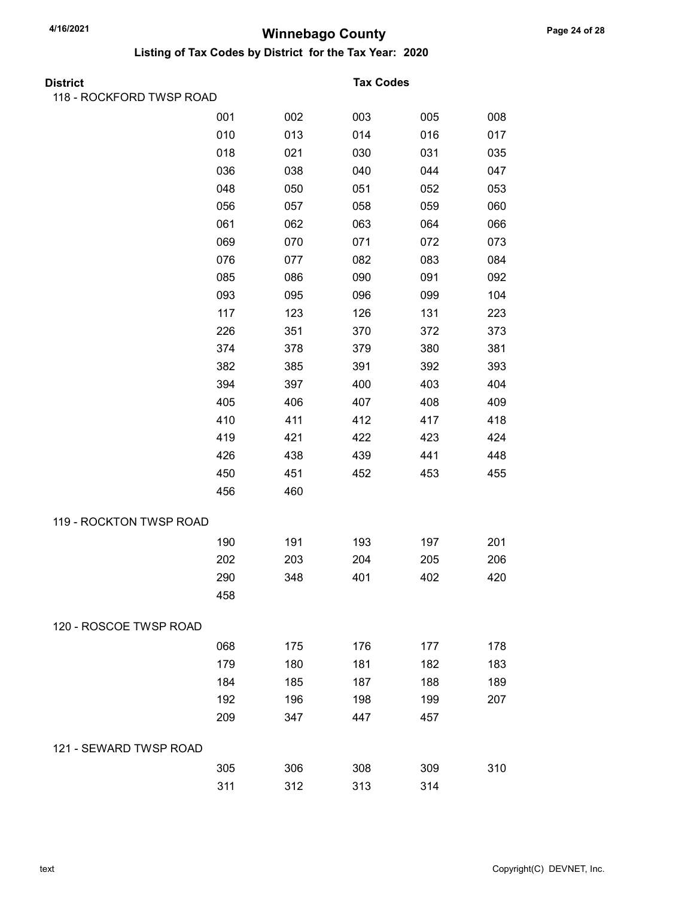| District                 |     |     | <b>Tax Codes</b> |     |     |
|--------------------------|-----|-----|------------------|-----|-----|
| 118 - ROCKFORD TWSP ROAD |     |     |                  |     |     |
|                          | 001 | 002 | 003              | 005 | 008 |
|                          | 010 | 013 | 014              | 016 | 017 |
|                          | 018 | 021 | 030              | 031 | 035 |
|                          | 036 | 038 | 040              | 044 | 047 |
|                          | 048 | 050 | 051              | 052 | 053 |
|                          | 056 | 057 | 058              | 059 | 060 |
|                          | 061 | 062 | 063              | 064 | 066 |
|                          | 069 | 070 | 071              | 072 | 073 |
|                          | 076 | 077 | 082              | 083 | 084 |
|                          | 085 | 086 | 090              | 091 | 092 |
|                          | 093 | 095 | 096              | 099 | 104 |
|                          | 117 | 123 | 126              | 131 | 223 |
|                          | 226 | 351 | 370              | 372 | 373 |
|                          | 374 | 378 | 379              | 380 | 381 |
|                          | 382 | 385 | 391              | 392 | 393 |
|                          | 394 | 397 | 400              | 403 | 404 |
|                          | 405 | 406 | 407              | 408 | 409 |
|                          | 410 | 411 | 412              | 417 | 418 |
|                          | 419 | 421 | 422              | 423 | 424 |
|                          | 426 | 438 | 439              | 441 | 448 |
|                          | 450 | 451 | 452              | 453 | 455 |
|                          | 456 | 460 |                  |     |     |
| 119 - ROCKTON TWSP ROAD  |     |     |                  |     |     |
|                          | 190 | 191 | 193              | 197 | 201 |
|                          | 202 | 203 | 204              | 205 | 206 |
|                          | 290 | 348 | 401              | 402 | 420 |
|                          | 458 |     |                  |     |     |
| 120 - ROSCOE TWSP ROAD   |     |     |                  |     |     |
|                          | 068 | 175 | 176              | 177 | 178 |
|                          | 179 | 180 | 181              | 182 | 183 |
|                          | 184 | 185 | 187              | 188 | 189 |
|                          | 192 | 196 | 198              | 199 | 207 |
|                          | 209 | 347 | 447              | 457 |     |
| 121 - SEWARD TWSP ROAD   |     |     |                  |     |     |
|                          | 305 | 306 | 308              | 309 | 310 |
|                          | 311 | 312 | 313              | 314 |     |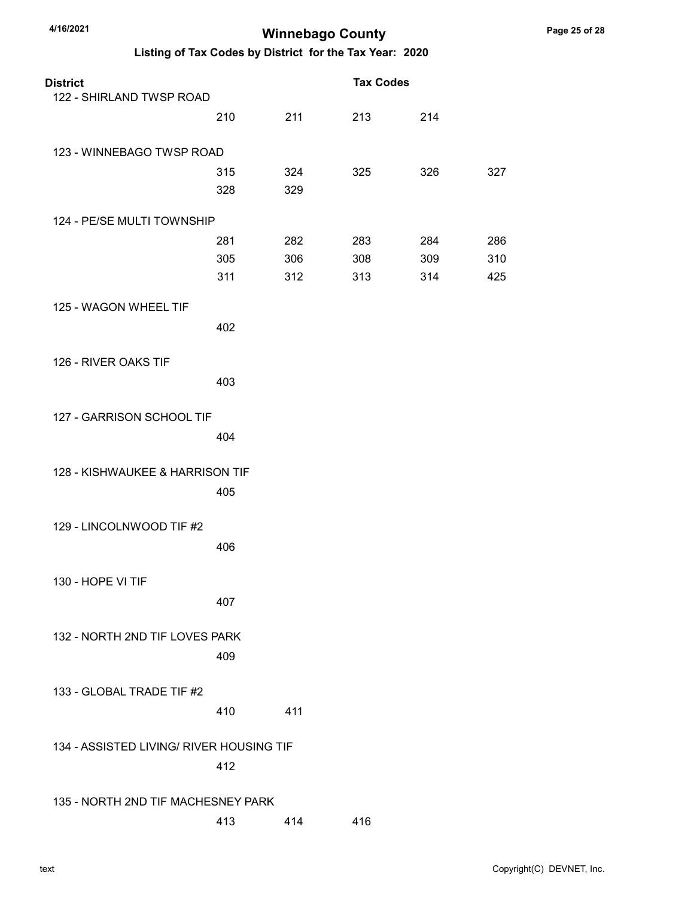| <b>District</b>                          |     |     | <b>Tax Codes</b> |     |     |
|------------------------------------------|-----|-----|------------------|-----|-----|
| 122 - SHIRLAND TWSP ROAD                 | 210 | 211 | 213              | 214 |     |
|                                          |     |     |                  |     |     |
| 123 - WINNEBAGO TWSP ROAD                |     |     |                  |     |     |
|                                          | 315 | 324 | 325              | 326 | 327 |
|                                          | 328 | 329 |                  |     |     |
| 124 - PE/SE MULTI TOWNSHIP               |     |     |                  |     |     |
|                                          | 281 | 282 | 283              | 284 | 286 |
|                                          | 305 | 306 | 308              | 309 | 310 |
|                                          | 311 | 312 | 313              | 314 | 425 |
| 125 - WAGON WHEEL TIF                    |     |     |                  |     |     |
|                                          | 402 |     |                  |     |     |
|                                          |     |     |                  |     |     |
| 126 - RIVER OAKS TIF                     |     |     |                  |     |     |
|                                          | 403 |     |                  |     |     |
| 127 - GARRISON SCHOOL TIF                |     |     |                  |     |     |
|                                          | 404 |     |                  |     |     |
|                                          |     |     |                  |     |     |
| 128 - KISHWAUKEE & HARRISON TIF          |     |     |                  |     |     |
|                                          | 405 |     |                  |     |     |
| 129 - LINCOLNWOOD TIF #2                 |     |     |                  |     |     |
|                                          | 406 |     |                  |     |     |
|                                          |     |     |                  |     |     |
| 130 - HOPE VI TIF                        |     |     |                  |     |     |
|                                          | 407 |     |                  |     |     |
| 132 - NORTH 2ND TIF LOVES PARK           |     |     |                  |     |     |
|                                          | 409 |     |                  |     |     |
|                                          |     |     |                  |     |     |
| 133 - GLOBAL TRADE TIF #2                |     |     |                  |     |     |
|                                          | 410 | 411 |                  |     |     |
| 134 - ASSISTED LIVING/ RIVER HOUSING TIF |     |     |                  |     |     |
|                                          | 412 |     |                  |     |     |
|                                          |     |     |                  |     |     |
| 135 - NORTH 2ND TIF MACHESNEY PARK       |     |     |                  |     |     |
|                                          | 413 | 414 | 416              |     |     |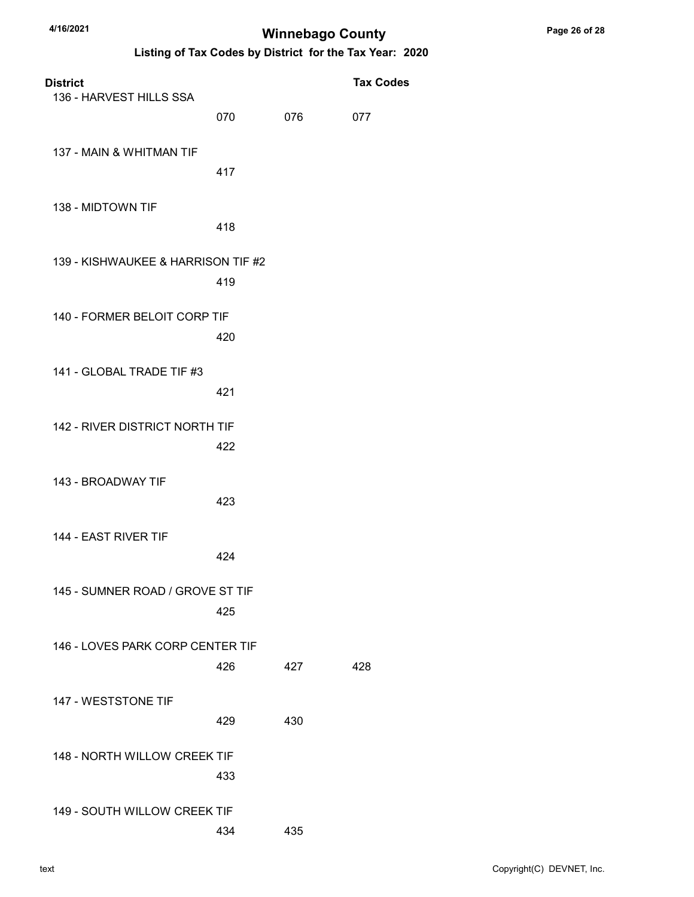| <b>District</b><br>136 - HARVEST HILLS SSA |     |     | <b>Tax Codes</b> |
|--------------------------------------------|-----|-----|------------------|
|                                            | 070 | 076 | 077              |
| 137 - MAIN & WHITMAN TIF                   | 417 |     |                  |
| 138 - MIDTOWN TIF                          | 418 |     |                  |
| 139 - KISHWAUKEE & HARRISON TIF #2         | 419 |     |                  |
| 140 - FORMER BELOIT CORP TIF               | 420 |     |                  |
| 141 - GLOBAL TRADE TIF #3                  | 421 |     |                  |
| 142 - RIVER DISTRICT NORTH TIF             | 422 |     |                  |
| 143 - BROADWAY TIF                         | 423 |     |                  |
| 144 - EAST RIVER TIF                       | 424 |     |                  |
| 145 - SUMNER ROAD / GROVE ST TIF           | 425 |     |                  |
| 146 - LOVES PARK CORP CENTER TIF           | 426 | 427 | 428              |
| 147 - WESTSTONE TIF                        | 429 | 430 |                  |
| 148 - NORTH WILLOW CREEK TIF               | 433 |     |                  |
| 149 - SOUTH WILLOW CREEK TIF               | 434 | 435 |                  |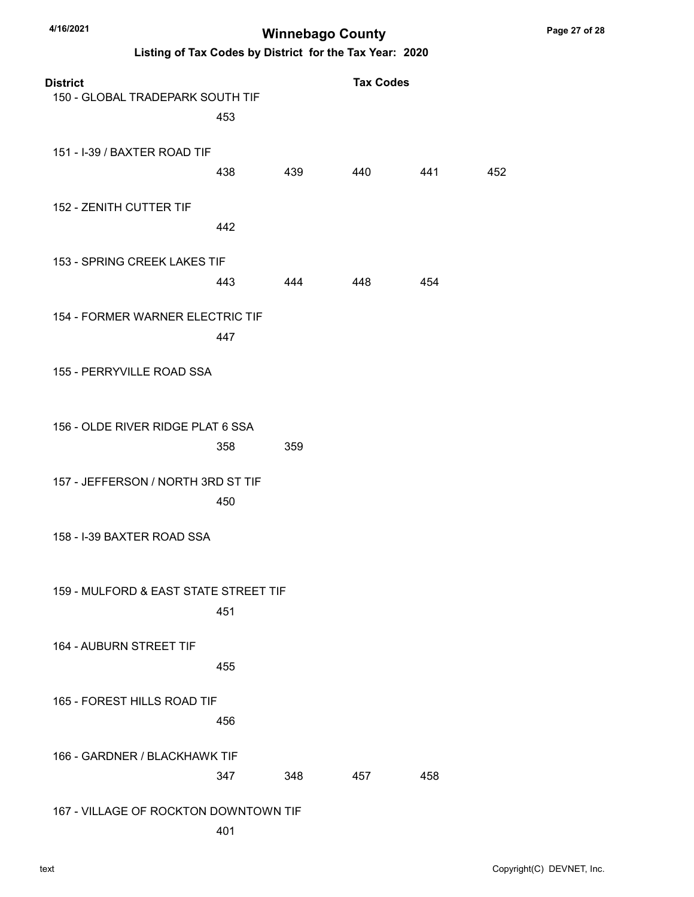| <b>District</b><br>150 - GLOBAL TRADEPARK SOUTH TIF | 453        |     | <b>Tax Codes</b> |     |     |
|-----------------------------------------------------|------------|-----|------------------|-----|-----|
| 151 - I-39 / BAXTER ROAD TIF                        | 438        | 439 | 440              | 441 | 452 |
| 152 - ZENITH CUTTER TIF                             | 442        |     |                  |     |     |
| 153 - SPRING CREEK LAKES TIF                        |            |     |                  |     |     |
| 154 - FORMER WARNER ELECTRIC TIF                    | 443        | 444 | 448              | 454 |     |
| 155 - PERRYVILLE ROAD SSA                           | 447        |     |                  |     |     |
| 156 - OLDE RIVER RIDGE PLAT 6 SSA                   |            |     |                  |     |     |
| 157 - JEFFERSON / NORTH 3RD ST TIF                  | 358<br>450 | 359 |                  |     |     |
| 158 - I-39 BAXTER ROAD SSA                          |            |     |                  |     |     |
| 159 - MULFORD & EAST STATE STREET TIF               | 451        |     |                  |     |     |
| 164 - AUBURN STREET TIF                             | 455        |     |                  |     |     |
| 165 - FOREST HILLS ROAD TIF                         | 456        |     |                  |     |     |
| 166 - GARDNER / BLACKHAWK TIF                       | 347        | 348 | 457              | 458 |     |
| 167 - VILLAGE OF ROCKTON DOWNTOWN TIF               | 401        |     |                  |     |     |